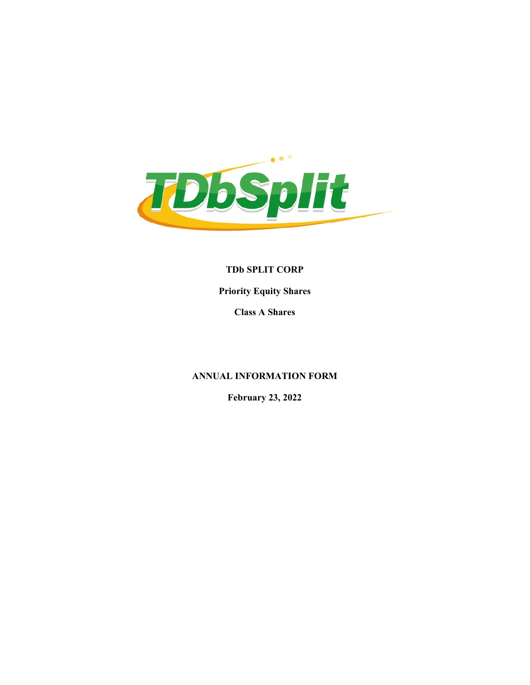

TDb SPLIT CORP Priority Equity Shares

Class A Shares

# ANNUAL INFORMATION FORM

February 23, 2022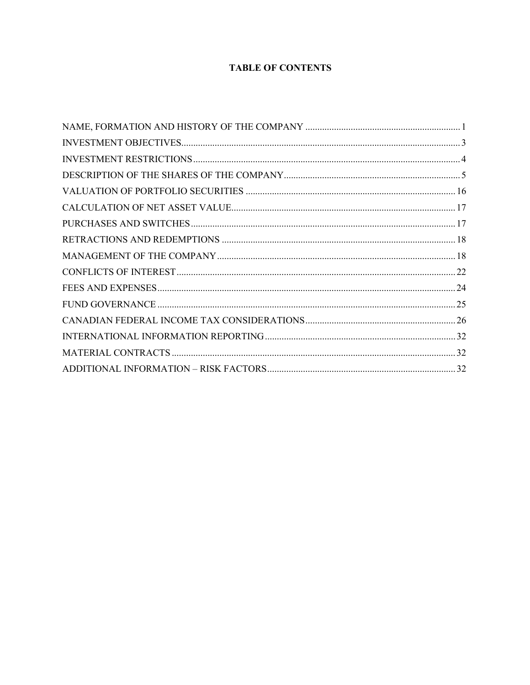# **TABLE OF CONTENTS**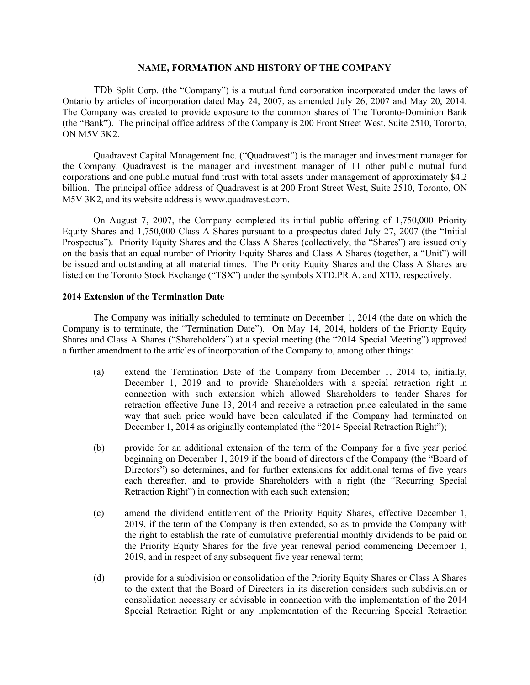#### NAME, FORMATION AND HISTORY OF THE COMPANY

TDb Split Corp. (the "Company") is a mutual fund corporation incorporated under the laws of Ontario by articles of incorporation dated May 24, 2007, as amended July 26, 2007 and May 20, 2014. The Company was created to provide exposure to the common shares of The Toronto-Dominion Bank (the "Bank"). The principal office address of the Company is 200 Front Street West, Suite 2510, Toronto, ON M5V 3K2.

Quadravest Capital Management Inc. ("Quadravest") is the manager and investment manager for the Company. Quadravest is the manager and investment manager of 11 other public mutual fund corporations and one public mutual fund trust with total assets under management of approximately \$4.2 billion. The principal office address of Quadravest is at 200 Front Street West, Suite 2510, Toronto, ON M5V 3K2, and its website address is www.quadravest.com.

On August 7, 2007, the Company completed its initial public offering of 1,750,000 Priority Equity Shares and 1,750,000 Class A Shares pursuant to a prospectus dated July 27, 2007 (the "Initial Prospectus"). Priority Equity Shares and the Class A Shares (collectively, the "Shares") are issued only on the basis that an equal number of Priority Equity Shares and Class A Shares (together, a "Unit") will be issued and outstanding at all material times. The Priority Equity Shares and the Class A Shares are listed on the Toronto Stock Exchange ("TSX") under the symbols XTD.PR.A. and XTD, respectively.

## 2014 Extension of the Termination Date

The Company was initially scheduled to terminate on December 1, 2014 (the date on which the Company is to terminate, the "Termination Date"). On May 14, 2014, holders of the Priority Equity Shares and Class A Shares ("Shareholders") at a special meeting (the "2014 Special Meeting") approved a further amendment to the articles of incorporation of the Company to, among other things:

- (a) extend the Termination Date of the Company from December 1, 2014 to, initially, December 1, 2019 and to provide Shareholders with a special retraction right in connection with such extension which allowed Shareholders to tender Shares for retraction effective June 13, 2014 and receive a retraction price calculated in the same way that such price would have been calculated if the Company had terminated on December 1, 2014 as originally contemplated (the "2014 Special Retraction Right");
- (b) provide for an additional extension of the term of the Company for a five year period beginning on December 1, 2019 if the board of directors of the Company (the "Board of Directors") so determines, and for further extensions for additional terms of five years each thereafter, and to provide Shareholders with a right (the "Recurring Special Retraction Right") in connection with each such extension;
- (c) amend the dividend entitlement of the Priority Equity Shares, effective December 1, 2019, if the term of the Company is then extended, so as to provide the Company with the right to establish the rate of cumulative preferential monthly dividends to be paid on the Priority Equity Shares for the five year renewal period commencing December 1, 2019, and in respect of any subsequent five year renewal term;
- (d) provide for a subdivision or consolidation of the Priority Equity Shares or Class A Shares to the extent that the Board of Directors in its discretion considers such subdivision or consolidation necessary or advisable in connection with the implementation of the 2014 Special Retraction Right or any implementation of the Recurring Special Retraction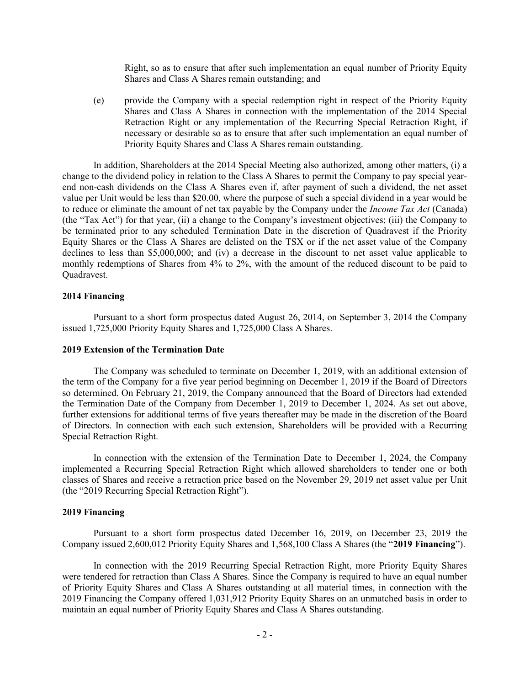Right, so as to ensure that after such implementation an equal number of Priority Equity Shares and Class A Shares remain outstanding; and

(e) provide the Company with a special redemption right in respect of the Priority Equity Shares and Class A Shares in connection with the implementation of the 2014 Special Retraction Right or any implementation of the Recurring Special Retraction Right, if necessary or desirable so as to ensure that after such implementation an equal number of Priority Equity Shares and Class A Shares remain outstanding.

In addition, Shareholders at the 2014 Special Meeting also authorized, among other matters, (i) a change to the dividend policy in relation to the Class A Shares to permit the Company to pay special yearend non-cash dividends on the Class A Shares even if, after payment of such a dividend, the net asset value per Unit would be less than \$20.00, where the purpose of such a special dividend in a year would be to reduce or eliminate the amount of net tax payable by the Company under the *Income Tax Act* (Canada) (the "Tax Act") for that year, (ii) a change to the Company's investment objectives; (iii) the Company to be terminated prior to any scheduled Termination Date in the discretion of Quadravest if the Priority Equity Shares or the Class A Shares are delisted on the TSX or if the net asset value of the Company declines to less than \$5,000,000; and (iv) a decrease in the discount to net asset value applicable to monthly redemptions of Shares from 4% to 2%, with the amount of the reduced discount to be paid to Quadravest.

## 2014 Financing

Pursuant to a short form prospectus dated August 26, 2014, on September 3, 2014 the Company issued 1,725,000 Priority Equity Shares and 1,725,000 Class A Shares.

#### 2019 Extension of the Termination Date

The Company was scheduled to terminate on December 1, 2019, with an additional extension of the term of the Company for a five year period beginning on December 1, 2019 if the Board of Directors so determined. On February 21, 2019, the Company announced that the Board of Directors had extended the Termination Date of the Company from December 1, 2019 to December 1, 2024. As set out above, further extensions for additional terms of five years thereafter may be made in the discretion of the Board of Directors. In connection with each such extension, Shareholders will be provided with a Recurring Special Retraction Right.

In connection with the extension of the Termination Date to December 1, 2024, the Company implemented a Recurring Special Retraction Right which allowed shareholders to tender one or both classes of Shares and receive a retraction price based on the November 29, 2019 net asset value per Unit (the "2019 Recurring Special Retraction Right").

#### 2019 Financing

Pursuant to a short form prospectus dated December 16, 2019, on December 23, 2019 the Company issued 2,600,012 Priority Equity Shares and 1,568,100 Class A Shares (the "2019 Financing").

In connection with the 2019 Recurring Special Retraction Right, more Priority Equity Shares were tendered for retraction than Class A Shares. Since the Company is required to have an equal number of Priority Equity Shares and Class A Shares outstanding at all material times, in connection with the 2019 Financing the Company offered 1,031,912 Priority Equity Shares on an unmatched basis in order to maintain an equal number of Priority Equity Shares and Class A Shares outstanding.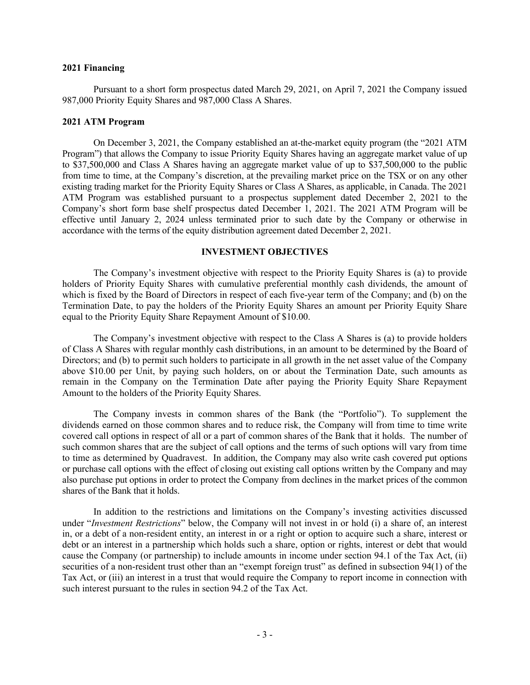## 2021 Financing

Pursuant to a short form prospectus dated March 29, 2021, on April 7, 2021 the Company issued 987,000 Priority Equity Shares and 987,000 Class A Shares.

## 2021 ATM Program

On December 3, 2021, the Company established an at-the-market equity program (the "2021 ATM Program") that allows the Company to issue Priority Equity Shares having an aggregate market value of up to \$37,500,000 and Class A Shares having an aggregate market value of up to \$37,500,000 to the public from time to time, at the Company's discretion, at the prevailing market price on the TSX or on any other existing trading market for the Priority Equity Shares or Class A Shares, as applicable, in Canada. The 2021 ATM Program was established pursuant to a prospectus supplement dated December 2, 2021 to the Company's short form base shelf prospectus dated December 1, 2021. The 2021 ATM Program will be effective until January 2, 2024 unless terminated prior to such date by the Company or otherwise in accordance with the terms of the equity distribution agreement dated December 2, 2021.

# INVESTMENT OBJECTIVES

The Company's investment objective with respect to the Priority Equity Shares is (a) to provide holders of Priority Equity Shares with cumulative preferential monthly cash dividends, the amount of which is fixed by the Board of Directors in respect of each five-year term of the Company; and (b) on the Termination Date, to pay the holders of the Priority Equity Shares an amount per Priority Equity Share equal to the Priority Equity Share Repayment Amount of \$10.00.

The Company's investment objective with respect to the Class A Shares is (a) to provide holders of Class A Shares with regular monthly cash distributions, in an amount to be determined by the Board of Directors; and (b) to permit such holders to participate in all growth in the net asset value of the Company above \$10.00 per Unit, by paying such holders, on or about the Termination Date, such amounts as remain in the Company on the Termination Date after paying the Priority Equity Share Repayment Amount to the holders of the Priority Equity Shares.

The Company invests in common shares of the Bank (the "Portfolio"). To supplement the dividends earned on those common shares and to reduce risk, the Company will from time to time write covered call options in respect of all or a part of common shares of the Bank that it holds. The number of such common shares that are the subject of call options and the terms of such options will vary from time to time as determined by Quadravest. In addition, the Company may also write cash covered put options or purchase call options with the effect of closing out existing call options written by the Company and may also purchase put options in order to protect the Company from declines in the market prices of the common shares of the Bank that it holds.

In addition to the restrictions and limitations on the Company's investing activities discussed under "Investment Restrictions" below, the Company will not invest in or hold (i) a share of, an interest in, or a debt of a non-resident entity, an interest in or a right or option to acquire such a share, interest or debt or an interest in a partnership which holds such a share, option or rights, interest or debt that would cause the Company (or partnership) to include amounts in income under section 94.1 of the Tax Act, (ii) securities of a non-resident trust other than an "exempt foreign trust" as defined in subsection 94(1) of the Tax Act, or (iii) an interest in a trust that would require the Company to report income in connection with such interest pursuant to the rules in section 94.2 of the Tax Act.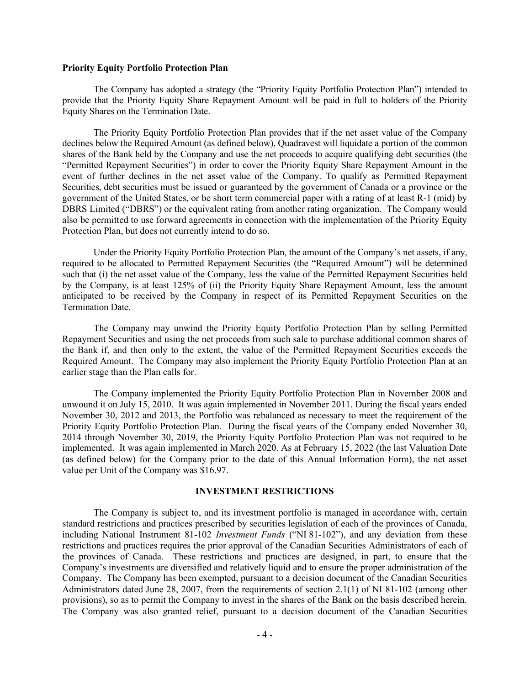#### Priority Equity Portfolio Protection Plan

The Company has adopted a strategy (the "Priority Equity Portfolio Protection Plan") intended to provide that the Priority Equity Share Repayment Amount will be paid in full to holders of the Priority Equity Shares on the Termination Date.

The Priority Equity Portfolio Protection Plan provides that if the net asset value of the Company declines below the Required Amount (as defined below), Quadravest will liquidate a portion of the common shares of the Bank held by the Company and use the net proceeds to acquire qualifying debt securities (the "Permitted Repayment Securities") in order to cover the Priority Equity Share Repayment Amount in the event of further declines in the net asset value of the Company. To qualify as Permitted Repayment Securities, debt securities must be issued or guaranteed by the government of Canada or a province or the government of the United States, or be short term commercial paper with a rating of at least R-1 (mid) by DBRS Limited ("DBRS") or the equivalent rating from another rating organization. The Company would also be permitted to use forward agreements in connection with the implementation of the Priority Equity Protection Plan, but does not currently intend to do so.

Under the Priority Equity Portfolio Protection Plan, the amount of the Company's net assets, if any, required to be allocated to Permitted Repayment Securities (the "Required Amount") will be determined such that (i) the net asset value of the Company, less the value of the Permitted Repayment Securities held by the Company, is at least 125% of (ii) the Priority Equity Share Repayment Amount, less the amount anticipated to be received by the Company in respect of its Permitted Repayment Securities on the Termination Date.

The Company may unwind the Priority Equity Portfolio Protection Plan by selling Permitted Repayment Securities and using the net proceeds from such sale to purchase additional common shares of the Bank if, and then only to the extent, the value of the Permitted Repayment Securities exceeds the Required Amount. The Company may also implement the Priority Equity Portfolio Protection Plan at an earlier stage than the Plan calls for.

The Company implemented the Priority Equity Portfolio Protection Plan in November 2008 and unwound it on July 15, 2010. It was again implemented in November 2011. During the fiscal years ended November 30, 2012 and 2013, the Portfolio was rebalanced as necessary to meet the requirement of the Priority Equity Portfolio Protection Plan. During the fiscal years of the Company ended November 30, 2014 through November 30, 2019, the Priority Equity Portfolio Protection Plan was not required to be implemented. It was again implemented in March 2020. As at February 15, 2022 (the last Valuation Date (as defined below) for the Company prior to the date of this Annual Information Form), the net asset value per Unit of the Company was \$16.97.

## INVESTMENT RESTRICTIONS

The Company is subject to, and its investment portfolio is managed in accordance with, certain standard restrictions and practices prescribed by securities legislation of each of the provinces of Canada, including National Instrument 81-102 Investment Funds ("NI 81-102"), and any deviation from these restrictions and practices requires the prior approval of the Canadian Securities Administrators of each of the provinces of Canada. These restrictions and practices are designed, in part, to ensure that the Company's investments are diversified and relatively liquid and to ensure the proper administration of the Company. The Company has been exempted, pursuant to a decision document of the Canadian Securities Administrators dated June 28, 2007, from the requirements of section 2.1(1) of NI 81-102 (among other provisions), so as to permit the Company to invest in the shares of the Bank on the basis described herein. The Company was also granted relief, pursuant to a decision document of the Canadian Securities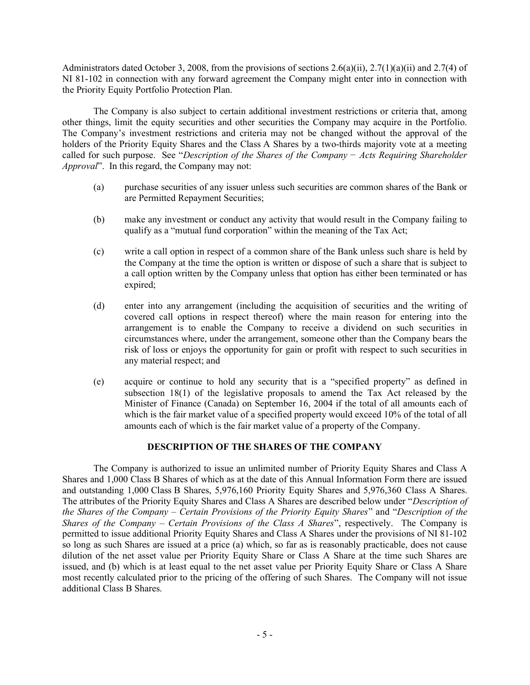Administrators dated October 3, 2008, from the provisions of sections  $2.6(a)(ii)$ ,  $2.7(1)(a)(ii)$  and  $2.7(4)$  of NI 81-102 in connection with any forward agreement the Company might enter into in connection with the Priority Equity Portfolio Protection Plan.

The Company is also subject to certain additional investment restrictions or criteria that, among other things, limit the equity securities and other securities the Company may acquire in the Portfolio. The Company's investment restrictions and criteria may not be changed without the approval of the holders of the Priority Equity Shares and the Class A Shares by a two-thirds majority vote at a meeting called for such purpose. See "Description of the Shares of the Company − Acts Requiring Shareholder Approval". In this regard, the Company may not:

- (a) purchase securities of any issuer unless such securities are common shares of the Bank or are Permitted Repayment Securities;
- (b) make any investment or conduct any activity that would result in the Company failing to qualify as a "mutual fund corporation" within the meaning of the Tax Act;
- (c) write a call option in respect of a common share of the Bank unless such share is held by the Company at the time the option is written or dispose of such a share that is subject to a call option written by the Company unless that option has either been terminated or has expired;
- (d) enter into any arrangement (including the acquisition of securities and the writing of covered call options in respect thereof) where the main reason for entering into the arrangement is to enable the Company to receive a dividend on such securities in circumstances where, under the arrangement, someone other than the Company bears the risk of loss or enjoys the opportunity for gain or profit with respect to such securities in any material respect; and
- (e) acquire or continue to hold any security that is a "specified property" as defined in subsection 18(1) of the legislative proposals to amend the Tax Act released by the Minister of Finance (Canada) on September 16, 2004 if the total of all amounts each of which is the fair market value of a specified property would exceed 10% of the total of all amounts each of which is the fair market value of a property of the Company.

# DESCRIPTION OF THE SHARES OF THE COMPANY

The Company is authorized to issue an unlimited number of Priority Equity Shares and Class A Shares and 1,000 Class B Shares of which as at the date of this Annual Information Form there are issued and outstanding 1,000 Class B Shares, 5,976,160 Priority Equity Shares and 5,976,360 Class A Shares. The attributes of the Priority Equity Shares and Class A Shares are described below under "Description of the Shares of the Company – Certain Provisions of the Priority Equity Shares" and "Description of the Shares of the Company – Certain Provisions of the Class A Shares", respectively. The Company is permitted to issue additional Priority Equity Shares and Class A Shares under the provisions of NI 81-102 so long as such Shares are issued at a price (a) which, so far as is reasonably practicable, does not cause dilution of the net asset value per Priority Equity Share or Class A Share at the time such Shares are issued, and (b) which is at least equal to the net asset value per Priority Equity Share or Class A Share most recently calculated prior to the pricing of the offering of such Shares. The Company will not issue additional Class B Shares.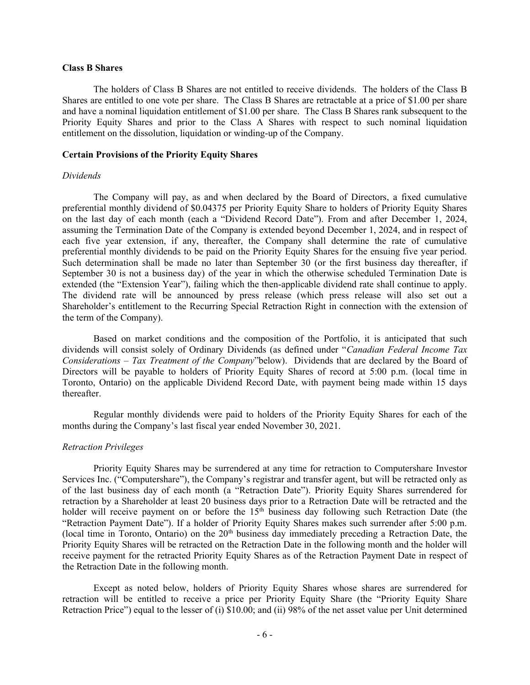## Class B Shares

The holders of Class B Shares are not entitled to receive dividends. The holders of the Class B Shares are entitled to one vote per share. The Class B Shares are retractable at a price of \$1.00 per share and have a nominal liquidation entitlement of \$1.00 per share. The Class B Shares rank subsequent to the Priority Equity Shares and prior to the Class A Shares with respect to such nominal liquidation entitlement on the dissolution, liquidation or winding-up of the Company.

## Certain Provisions of the Priority Equity Shares

#### Dividends

The Company will pay, as and when declared by the Board of Directors, a fixed cumulative preferential monthly dividend of \$0.04375 per Priority Equity Share to holders of Priority Equity Shares on the last day of each month (each a "Dividend Record Date"). From and after December 1, 2024, assuming the Termination Date of the Company is extended beyond December 1, 2024, and in respect of each five year extension, if any, thereafter, the Company shall determine the rate of cumulative preferential monthly dividends to be paid on the Priority Equity Shares for the ensuing five year period. Such determination shall be made no later than September 30 (or the first business day thereafter, if September 30 is not a business day) of the year in which the otherwise scheduled Termination Date is extended (the "Extension Year"), failing which the then-applicable dividend rate shall continue to apply. The dividend rate will be announced by press release (which press release will also set out a Shareholder's entitlement to the Recurring Special Retraction Right in connection with the extension of the term of the Company).

Based on market conditions and the composition of the Portfolio, it is anticipated that such dividends will consist solely of Ordinary Dividends (as defined under "Canadian Federal Income Tax Considerations – Tax Treatment of the Company"below). Dividends that are declared by the Board of Directors will be payable to holders of Priority Equity Shares of record at 5:00 p.m. (local time in Toronto, Ontario) on the applicable Dividend Record Date, with payment being made within 15 days thereafter.

Regular monthly dividends were paid to holders of the Priority Equity Shares for each of the months during the Company's last fiscal year ended November 30, 2021.

#### Retraction Privileges

Priority Equity Shares may be surrendered at any time for retraction to Computershare Investor Services Inc. ("Computershare"), the Company's registrar and transfer agent, but will be retracted only as of the last business day of each month (a "Retraction Date"). Priority Equity Shares surrendered for retraction by a Shareholder at least 20 business days prior to a Retraction Date will be retracted and the holder will receive payment on or before the 15<sup>th</sup> business day following such Retraction Date (the "Retraction Payment Date"). If a holder of Priority Equity Shares makes such surrender after 5:00 p.m. (local time in Toronto, Ontario) on the  $20<sup>th</sup>$  business day immediately preceding a Retraction Date, the Priority Equity Shares will be retracted on the Retraction Date in the following month and the holder will receive payment for the retracted Priority Equity Shares as of the Retraction Payment Date in respect of the Retraction Date in the following month.

Except as noted below, holders of Priority Equity Shares whose shares are surrendered for retraction will be entitled to receive a price per Priority Equity Share (the "Priority Equity Share Retraction Price") equal to the lesser of (i) \$10.00; and (ii) 98% of the net asset value per Unit determined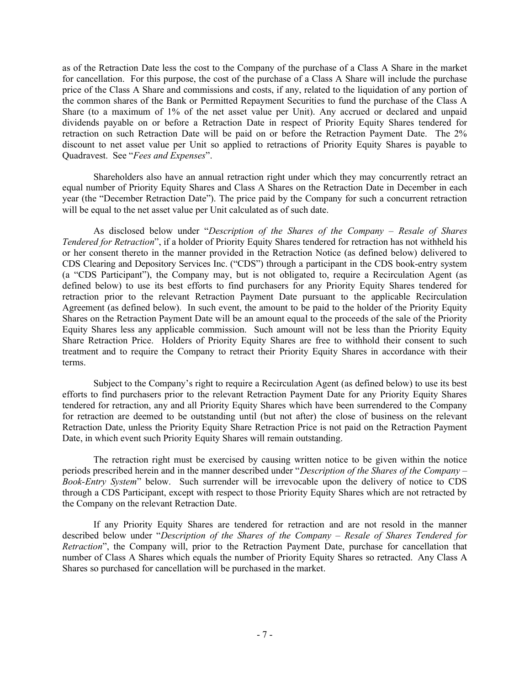as of the Retraction Date less the cost to the Company of the purchase of a Class A Share in the market for cancellation. For this purpose, the cost of the purchase of a Class A Share will include the purchase price of the Class A Share and commissions and costs, if any, related to the liquidation of any portion of the common shares of the Bank or Permitted Repayment Securities to fund the purchase of the Class A Share (to a maximum of 1% of the net asset value per Unit). Any accrued or declared and unpaid dividends payable on or before a Retraction Date in respect of Priority Equity Shares tendered for retraction on such Retraction Date will be paid on or before the Retraction Payment Date. The 2% discount to net asset value per Unit so applied to retractions of Priority Equity Shares is payable to Quadravest. See "Fees and Expenses".

Shareholders also have an annual retraction right under which they may concurrently retract an equal number of Priority Equity Shares and Class A Shares on the Retraction Date in December in each year (the "December Retraction Date"). The price paid by the Company for such a concurrent retraction will be equal to the net asset value per Unit calculated as of such date.

As disclosed below under "Description of the Shares of the Company – Resale of Shares Tendered for Retraction", if a holder of Priority Equity Shares tendered for retraction has not withheld his or her consent thereto in the manner provided in the Retraction Notice (as defined below) delivered to CDS Clearing and Depository Services Inc. ("CDS") through a participant in the CDS book-entry system (a "CDS Participant"), the Company may, but is not obligated to, require a Recirculation Agent (as defined below) to use its best efforts to find purchasers for any Priority Equity Shares tendered for retraction prior to the relevant Retraction Payment Date pursuant to the applicable Recirculation Agreement (as defined below). In such event, the amount to be paid to the holder of the Priority Equity Shares on the Retraction Payment Date will be an amount equal to the proceeds of the sale of the Priority Equity Shares less any applicable commission. Such amount will not be less than the Priority Equity Share Retraction Price. Holders of Priority Equity Shares are free to withhold their consent to such treatment and to require the Company to retract their Priority Equity Shares in accordance with their terms.

Subject to the Company's right to require a Recirculation Agent (as defined below) to use its best efforts to find purchasers prior to the relevant Retraction Payment Date for any Priority Equity Shares tendered for retraction, any and all Priority Equity Shares which have been surrendered to the Company for retraction are deemed to be outstanding until (but not after) the close of business on the relevant Retraction Date, unless the Priority Equity Share Retraction Price is not paid on the Retraction Payment Date, in which event such Priority Equity Shares will remain outstanding.

The retraction right must be exercised by causing written notice to be given within the notice periods prescribed herein and in the manner described under "Description of the Shares of the Company – Book-Entry System" below. Such surrender will be irrevocable upon the delivery of notice to CDS through a CDS Participant, except with respect to those Priority Equity Shares which are not retracted by the Company on the relevant Retraction Date.

If any Priority Equity Shares are tendered for retraction and are not resold in the manner described below under "Description of the Shares of the Company – Resale of Shares Tendered for Retraction", the Company will, prior to the Retraction Payment Date, purchase for cancellation that number of Class A Shares which equals the number of Priority Equity Shares so retracted. Any Class A Shares so purchased for cancellation will be purchased in the market.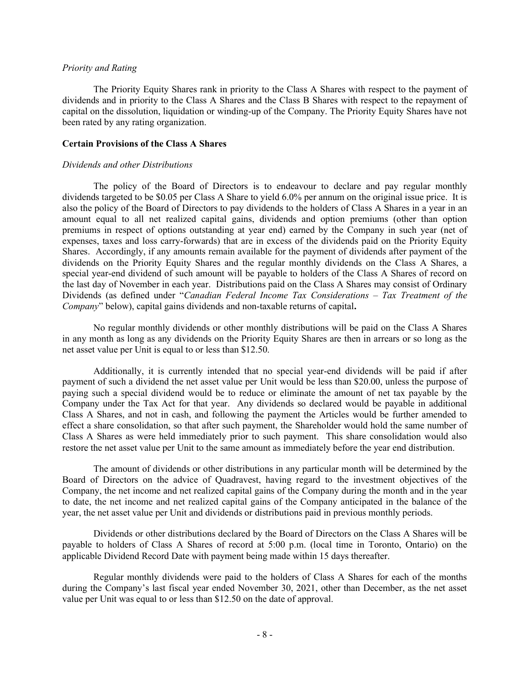## Priority and Rating

The Priority Equity Shares rank in priority to the Class A Shares with respect to the payment of dividends and in priority to the Class A Shares and the Class B Shares with respect to the repayment of capital on the dissolution, liquidation or winding-up of the Company. The Priority Equity Shares have not been rated by any rating organization.

# Certain Provisions of the Class A Shares

#### Dividends and other Distributions

The policy of the Board of Directors is to endeavour to declare and pay regular monthly dividends targeted to be \$0.05 per Class A Share to yield 6.0% per annum on the original issue price. It is also the policy of the Board of Directors to pay dividends to the holders of Class A Shares in a year in an amount equal to all net realized capital gains, dividends and option premiums (other than option premiums in respect of options outstanding at year end) earned by the Company in such year (net of expenses, taxes and loss carry-forwards) that are in excess of the dividends paid on the Priority Equity Shares. Accordingly, if any amounts remain available for the payment of dividends after payment of the dividends on the Priority Equity Shares and the regular monthly dividends on the Class A Shares, a special year-end dividend of such amount will be payable to holders of the Class A Shares of record on the last day of November in each year. Distributions paid on the Class A Shares may consist of Ordinary Dividends (as defined under "Canadian Federal Income Tax Considerations – Tax Treatment of the Company" below), capital gains dividends and non-taxable returns of capital.

No regular monthly dividends or other monthly distributions will be paid on the Class A Shares in any month as long as any dividends on the Priority Equity Shares are then in arrears or so long as the net asset value per Unit is equal to or less than \$12.50.

Additionally, it is currently intended that no special year-end dividends will be paid if after payment of such a dividend the net asset value per Unit would be less than \$20.00, unless the purpose of paying such a special dividend would be to reduce or eliminate the amount of net tax payable by the Company under the Tax Act for that year. Any dividends so declared would be payable in additional Class A Shares, and not in cash, and following the payment the Articles would be further amended to effect a share consolidation, so that after such payment, the Shareholder would hold the same number of Class A Shares as were held immediately prior to such payment. This share consolidation would also restore the net asset value per Unit to the same amount as immediately before the year end distribution.

The amount of dividends or other distributions in any particular month will be determined by the Board of Directors on the advice of Quadravest, having regard to the investment objectives of the Company, the net income and net realized capital gains of the Company during the month and in the year to date, the net income and net realized capital gains of the Company anticipated in the balance of the year, the net asset value per Unit and dividends or distributions paid in previous monthly periods.

Dividends or other distributions declared by the Board of Directors on the Class A Shares will be payable to holders of Class A Shares of record at 5:00 p.m. (local time in Toronto, Ontario) on the applicable Dividend Record Date with payment being made within 15 days thereafter.

Regular monthly dividends were paid to the holders of Class A Shares for each of the months during the Company's last fiscal year ended November 30, 2021, other than December, as the net asset value per Unit was equal to or less than \$12.50 on the date of approval.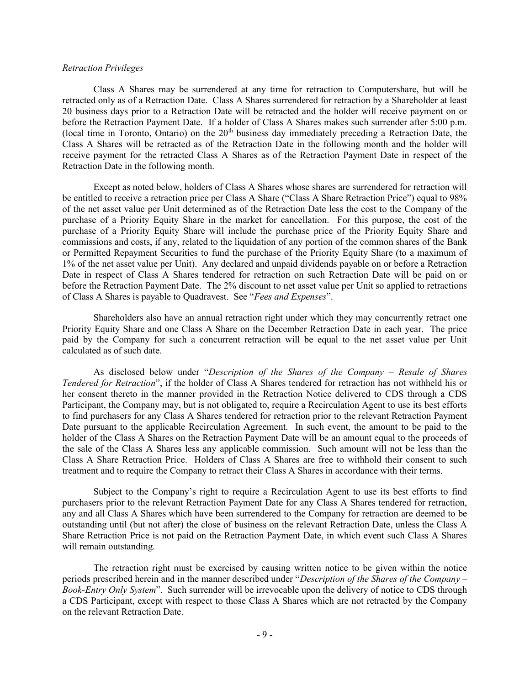## Retraction Privileges

Class A Shares may be surrendered at any time for retraction to Computershare, but will be retracted only as of a Retraction Date. Class A Shares surrendered for retraction by a Shareholder at least 20 business days prior to a Retraction Date will be retracted and the holder will receive payment on or before the Retraction Payment Date. If a holder of Class A Shares makes such surrender after 5:00 p.m. (local time in Toronto, Ontario) on the  $20<sup>th</sup>$  business day immediately preceding a Retraction Date, the Class A Shares will be retracted as of the Retraction Date in the following month and the holder will receive payment for the retracted Class A Shares as of the Retraction Payment Date in respect of the Retraction Date in the following month.

Except as noted below, holders of Class A Shares whose shares are surrendered for retraction will be entitled to receive a retraction price per Class A Share ("Class A Share Retraction Price") equal to 98% of the net asset value per Unit determined as of the Retraction Date less the cost to the Company of the purchase of a Priority Equity Share in the market for cancellation. For this purpose, the cost of the purchase of a Priority Equity Share will include the purchase price of the Priority Equity Share and commissions and costs, if any, related to the liquidation of any portion of the common shares of the Bank or Permitted Repayment Securities to fund the purchase of the Priority Equity Share (to a maximum of 1% of the net asset value per Unit). Any declared and unpaid dividends payable on or before a Retraction Date in respect of Class A Shares tendered for retraction on such Retraction Date will be paid on or before the Retraction Payment Date. The 2% discount to net asset value per Unit so applied to retractions of Class A Shares is payable to Quadravest. See "Fees and Expenses".

Shareholders also have an annual retraction right under which they may concurrently retract one Priority Equity Share and one Class A Share on the December Retraction Date in each year. The price paid by the Company for such a concurrent retraction will be equal to the net asset value per Unit calculated as of such date.

As disclosed below under "Description of the Shares of the Company – Resale of Shares Tendered for Retraction", if the holder of Class A Shares tendered for retraction has not withheld his or her consent thereto in the manner provided in the Retraction Notice delivered to CDS through a CDS Participant, the Company may, but is not obligated to, require a Recirculation Agent to use its best efforts to find purchasers for any Class A Shares tendered for retraction prior to the relevant Retraction Payment Date pursuant to the applicable Recirculation Agreement. In such event, the amount to be paid to the holder of the Class A Shares on the Retraction Payment Date will be an amount equal to the proceeds of the sale of the Class A Shares less any applicable commission. Such amount will not be less than the Class A Share Retraction Price. Holders of Class A Shares are free to withhold their consent to such treatment and to require the Company to retract their Class A Shares in accordance with their terms.

Subject to the Company's right to require a Recirculation Agent to use its best efforts to find purchasers prior to the relevant Retraction Payment Date for any Class A Shares tendered for retraction, any and all Class A Shares which have been surrendered to the Company for retraction are deemed to be outstanding until (but not after) the close of business on the relevant Retraction Date, unless the Class A Share Retraction Price is not paid on the Retraction Payment Date, in which event such Class A Shares will remain outstanding.

The retraction right must be exercised by causing written notice to be given within the notice periods prescribed herein and in the manner described under "Description of the Shares of the Company – Book-Entry Only System". Such surrender will be irrevocable upon the delivery of notice to CDS through a CDS Participant, except with respect to those Class A Shares which are not retracted by the Company on the relevant Retraction Date.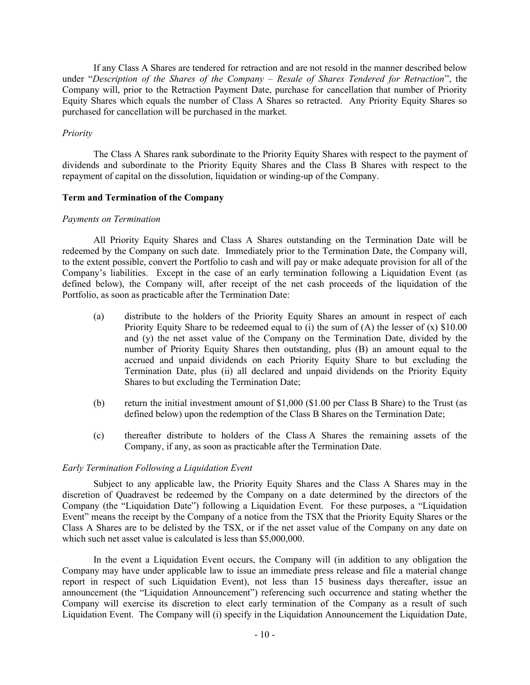If any Class A Shares are tendered for retraction and are not resold in the manner described below under "Description of the Shares of the Company – Resale of Shares Tendered for Retraction", the Company will, prior to the Retraction Payment Date, purchase for cancellation that number of Priority Equity Shares which equals the number of Class A Shares so retracted. Any Priority Equity Shares so purchased for cancellation will be purchased in the market.

# Priority

The Class A Shares rank subordinate to the Priority Equity Shares with respect to the payment of dividends and subordinate to the Priority Equity Shares and the Class B Shares with respect to the repayment of capital on the dissolution, liquidation or winding-up of the Company.

## Term and Termination of the Company

#### Payments on Termination

All Priority Equity Shares and Class A Shares outstanding on the Termination Date will be redeemed by the Company on such date. Immediately prior to the Termination Date, the Company will, to the extent possible, convert the Portfolio to cash and will pay or make adequate provision for all of the Company's liabilities. Except in the case of an early termination following a Liquidation Event (as defined below), the Company will, after receipt of the net cash proceeds of the liquidation of the Portfolio, as soon as practicable after the Termination Date:

- (a) distribute to the holders of the Priority Equity Shares an amount in respect of each Priority Equity Share to be redeemed equal to (i) the sum of  $(A)$  the lesser of  $(x)$  \$10.00 and (y) the net asset value of the Company on the Termination Date, divided by the number of Priority Equity Shares then outstanding, plus (B) an amount equal to the accrued and unpaid dividends on each Priority Equity Share to but excluding the Termination Date, plus (ii) all declared and unpaid dividends on the Priority Equity Shares to but excluding the Termination Date;
- (b) return the initial investment amount of \$1,000 (\$1.00 per Class B Share) to the Trust (as defined below) upon the redemption of the Class B Shares on the Termination Date;
- (c) thereafter distribute to holders of the Class A Shares the remaining assets of the Company, if any, as soon as practicable after the Termination Date.

#### Early Termination Following a Liquidation Event

Subject to any applicable law, the Priority Equity Shares and the Class A Shares may in the discretion of Quadravest be redeemed by the Company on a date determined by the directors of the Company (the "Liquidation Date") following a Liquidation Event. For these purposes, a "Liquidation Event" means the receipt by the Company of a notice from the TSX that the Priority Equity Shares or the Class A Shares are to be delisted by the TSX, or if the net asset value of the Company on any date on which such net asset value is calculated is less than \$5,000,000.

In the event a Liquidation Event occurs, the Company will (in addition to any obligation the Company may have under applicable law to issue an immediate press release and file a material change report in respect of such Liquidation Event), not less than 15 business days thereafter, issue an announcement (the "Liquidation Announcement") referencing such occurrence and stating whether the Company will exercise its discretion to elect early termination of the Company as a result of such Liquidation Event. The Company will (i) specify in the Liquidation Announcement the Liquidation Date,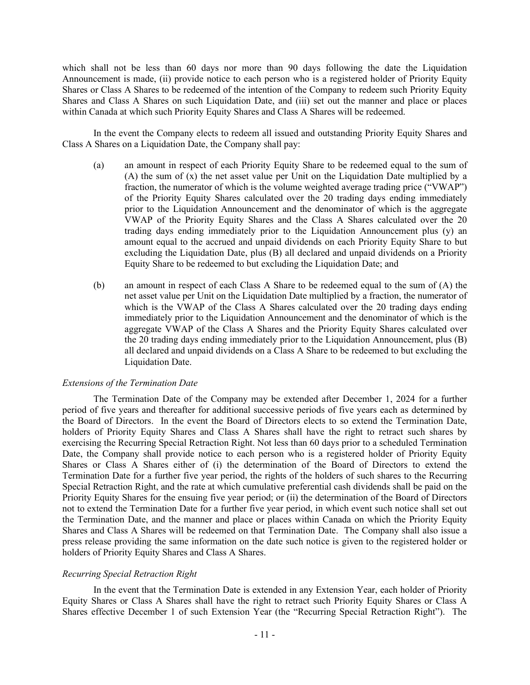which shall not be less than 60 days nor more than 90 days following the date the Liquidation Announcement is made, (ii) provide notice to each person who is a registered holder of Priority Equity Shares or Class A Shares to be redeemed of the intention of the Company to redeem such Priority Equity Shares and Class A Shares on such Liquidation Date, and (iii) set out the manner and place or places within Canada at which such Priority Equity Shares and Class A Shares will be redeemed.

In the event the Company elects to redeem all issued and outstanding Priority Equity Shares and Class A Shares on a Liquidation Date, the Company shall pay:

- (a) an amount in respect of each Priority Equity Share to be redeemed equal to the sum of (A) the sum of (x) the net asset value per Unit on the Liquidation Date multiplied by a fraction, the numerator of which is the volume weighted average trading price ("VWAP") of the Priority Equity Shares calculated over the 20 trading days ending immediately prior to the Liquidation Announcement and the denominator of which is the aggregate VWAP of the Priority Equity Shares and the Class A Shares calculated over the 20 trading days ending immediately prior to the Liquidation Announcement plus (y) an amount equal to the accrued and unpaid dividends on each Priority Equity Share to but excluding the Liquidation Date, plus (B) all declared and unpaid dividends on a Priority Equity Share to be redeemed to but excluding the Liquidation Date; and
- (b) an amount in respect of each Class A Share to be redeemed equal to the sum of (A) the net asset value per Unit on the Liquidation Date multiplied by a fraction, the numerator of which is the VWAP of the Class A Shares calculated over the 20 trading days ending immediately prior to the Liquidation Announcement and the denominator of which is the aggregate VWAP of the Class A Shares and the Priority Equity Shares calculated over the 20 trading days ending immediately prior to the Liquidation Announcement, plus (B) all declared and unpaid dividends on a Class A Share to be redeemed to but excluding the Liquidation Date.

## Extensions of the Termination Date

The Termination Date of the Company may be extended after December 1, 2024 for a further period of five years and thereafter for additional successive periods of five years each as determined by the Board of Directors. In the event the Board of Directors elects to so extend the Termination Date, holders of Priority Equity Shares and Class A Shares shall have the right to retract such shares by exercising the Recurring Special Retraction Right. Not less than 60 days prior to a scheduled Termination Date, the Company shall provide notice to each person who is a registered holder of Priority Equity Shares or Class A Shares either of (i) the determination of the Board of Directors to extend the Termination Date for a further five year period, the rights of the holders of such shares to the Recurring Special Retraction Right, and the rate at which cumulative preferential cash dividends shall be paid on the Priority Equity Shares for the ensuing five year period; or (ii) the determination of the Board of Directors not to extend the Termination Date for a further five year period, in which event such notice shall set out the Termination Date, and the manner and place or places within Canada on which the Priority Equity Shares and Class A Shares will be redeemed on that Termination Date. The Company shall also issue a press release providing the same information on the date such notice is given to the registered holder or holders of Priority Equity Shares and Class A Shares.

#### Recurring Special Retraction Right

In the event that the Termination Date is extended in any Extension Year, each holder of Priority Equity Shares or Class A Shares shall have the right to retract such Priority Equity Shares or Class A Shares effective December 1 of such Extension Year (the "Recurring Special Retraction Right"). The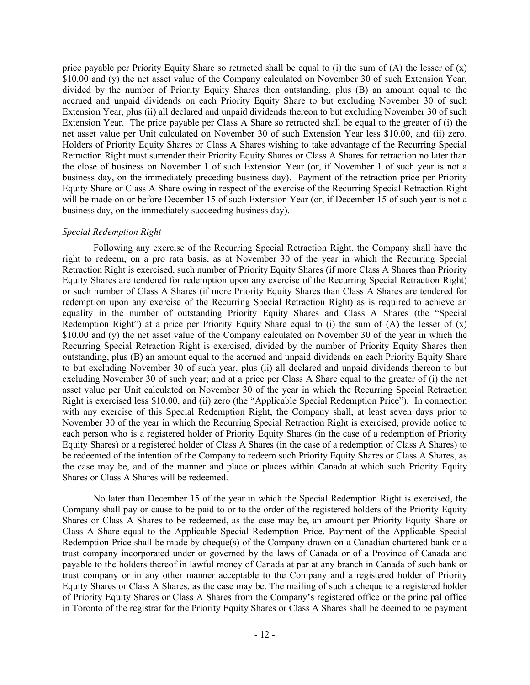price payable per Priority Equity Share so retracted shall be equal to (i) the sum of (A) the lesser of  $(x)$ \$10.00 and (y) the net asset value of the Company calculated on November 30 of such Extension Year, divided by the number of Priority Equity Shares then outstanding, plus (B) an amount equal to the accrued and unpaid dividends on each Priority Equity Share to but excluding November 30 of such Extension Year, plus (ii) all declared and unpaid dividends thereon to but excluding November 30 of such Extension Year. The price payable per Class A Share so retracted shall be equal to the greater of (i) the net asset value per Unit calculated on November 30 of such Extension Year less \$10.00, and (ii) zero. Holders of Priority Equity Shares or Class A Shares wishing to take advantage of the Recurring Special Retraction Right must surrender their Priority Equity Shares or Class A Shares for retraction no later than the close of business on November 1 of such Extension Year (or, if November 1 of such year is not a business day, on the immediately preceding business day). Payment of the retraction price per Priority Equity Share or Class A Share owing in respect of the exercise of the Recurring Special Retraction Right will be made on or before December 15 of such Extension Year (or, if December 15 of such year is not a business day, on the immediately succeeding business day).

#### Special Redemption Right

Following any exercise of the Recurring Special Retraction Right, the Company shall have the right to redeem, on a pro rata basis, as at November 30 of the year in which the Recurring Special Retraction Right is exercised, such number of Priority Equity Shares (if more Class A Shares than Priority Equity Shares are tendered for redemption upon any exercise of the Recurring Special Retraction Right) or such number of Class A Shares (if more Priority Equity Shares than Class A Shares are tendered for redemption upon any exercise of the Recurring Special Retraction Right) as is required to achieve an equality in the number of outstanding Priority Equity Shares and Class A Shares (the "Special Redemption Right") at a price per Priority Equity Share equal to (i) the sum of (A) the lesser of (x) \$10.00 and (y) the net asset value of the Company calculated on November 30 of the year in which the Recurring Special Retraction Right is exercised, divided by the number of Priority Equity Shares then outstanding, plus (B) an amount equal to the accrued and unpaid dividends on each Priority Equity Share to but excluding November 30 of such year, plus (ii) all declared and unpaid dividends thereon to but excluding November 30 of such year; and at a price per Class A Share equal to the greater of (i) the net asset value per Unit calculated on November 30 of the year in which the Recurring Special Retraction Right is exercised less \$10.00, and (ii) zero (the "Applicable Special Redemption Price"). In connection with any exercise of this Special Redemption Right, the Company shall, at least seven days prior to November 30 of the year in which the Recurring Special Retraction Right is exercised, provide notice to each person who is a registered holder of Priority Equity Shares (in the case of a redemption of Priority Equity Shares) or a registered holder of Class A Shares (in the case of a redemption of Class A Shares) to be redeemed of the intention of the Company to redeem such Priority Equity Shares or Class A Shares, as the case may be, and of the manner and place or places within Canada at which such Priority Equity Shares or Class A Shares will be redeemed.

No later than December 15 of the year in which the Special Redemption Right is exercised, the Company shall pay or cause to be paid to or to the order of the registered holders of the Priority Equity Shares or Class A Shares to be redeemed, as the case may be, an amount per Priority Equity Share or Class A Share equal to the Applicable Special Redemption Price. Payment of the Applicable Special Redemption Price shall be made by cheque(s) of the Company drawn on a Canadian chartered bank or a trust company incorporated under or governed by the laws of Canada or of a Province of Canada and payable to the holders thereof in lawful money of Canada at par at any branch in Canada of such bank or trust company or in any other manner acceptable to the Company and a registered holder of Priority Equity Shares or Class A Shares, as the case may be. The mailing of such a cheque to a registered holder of Priority Equity Shares or Class A Shares from the Company's registered office or the principal office in Toronto of the registrar for the Priority Equity Shares or Class A Shares shall be deemed to be payment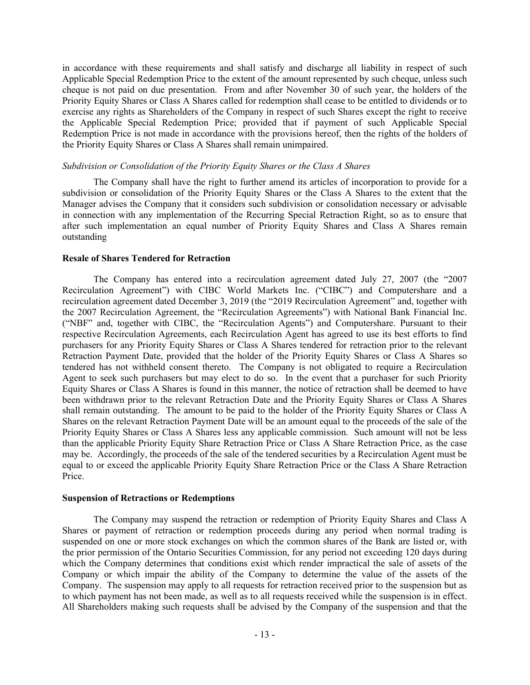in accordance with these requirements and shall satisfy and discharge all liability in respect of such Applicable Special Redemption Price to the extent of the amount represented by such cheque, unless such cheque is not paid on due presentation. From and after November 30 of such year, the holders of the Priority Equity Shares or Class A Shares called for redemption shall cease to be entitled to dividends or to exercise any rights as Shareholders of the Company in respect of such Shares except the right to receive the Applicable Special Redemption Price; provided that if payment of such Applicable Special Redemption Price is not made in accordance with the provisions hereof, then the rights of the holders of the Priority Equity Shares or Class A Shares shall remain unimpaired.

## Subdivision or Consolidation of the Priority Equity Shares or the Class A Shares

The Company shall have the right to further amend its articles of incorporation to provide for a subdivision or consolidation of the Priority Equity Shares or the Class A Shares to the extent that the Manager advises the Company that it considers such subdivision or consolidation necessary or advisable in connection with any implementation of the Recurring Special Retraction Right, so as to ensure that after such implementation an equal number of Priority Equity Shares and Class A Shares remain outstanding

# Resale of Shares Tendered for Retraction

The Company has entered into a recirculation agreement dated July 27, 2007 (the "2007 Recirculation Agreement") with CIBC World Markets Inc. ("CIBC") and Computershare and a recirculation agreement dated December 3, 2019 (the "2019 Recirculation Agreement" and, together with the 2007 Recirculation Agreement, the "Recirculation Agreements") with National Bank Financial Inc. ("NBF" and, together with CIBC, the "Recirculation Agents") and Computershare. Pursuant to their respective Recirculation Agreements, each Recirculation Agent has agreed to use its best efforts to find purchasers for any Priority Equity Shares or Class A Shares tendered for retraction prior to the relevant Retraction Payment Date, provided that the holder of the Priority Equity Shares or Class A Shares so tendered has not withheld consent thereto. The Company is not obligated to require a Recirculation Agent to seek such purchasers but may elect to do so. In the event that a purchaser for such Priority Equity Shares or Class A Shares is found in this manner, the notice of retraction shall be deemed to have been withdrawn prior to the relevant Retraction Date and the Priority Equity Shares or Class A Shares shall remain outstanding. The amount to be paid to the holder of the Priority Equity Shares or Class A Shares on the relevant Retraction Payment Date will be an amount equal to the proceeds of the sale of the Priority Equity Shares or Class A Shares less any applicable commission. Such amount will not be less than the applicable Priority Equity Share Retraction Price or Class A Share Retraction Price, as the case may be. Accordingly, the proceeds of the sale of the tendered securities by a Recirculation Agent must be equal to or exceed the applicable Priority Equity Share Retraction Price or the Class A Share Retraction Price.

## Suspension of Retractions or Redemptions

The Company may suspend the retraction or redemption of Priority Equity Shares and Class A Shares or payment of retraction or redemption proceeds during any period when normal trading is suspended on one or more stock exchanges on which the common shares of the Bank are listed or, with the prior permission of the Ontario Securities Commission, for any period not exceeding 120 days during which the Company determines that conditions exist which render impractical the sale of assets of the Company or which impair the ability of the Company to determine the value of the assets of the Company. The suspension may apply to all requests for retraction received prior to the suspension but as to which payment has not been made, as well as to all requests received while the suspension is in effect. All Shareholders making such requests shall be advised by the Company of the suspension and that the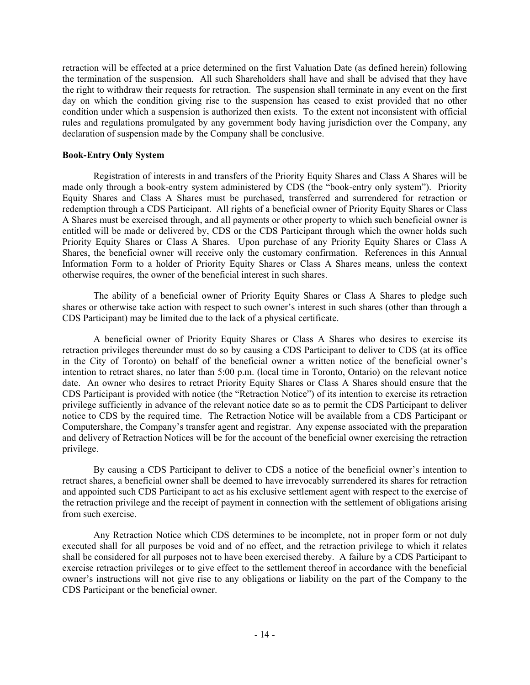retraction will be effected at a price determined on the first Valuation Date (as defined herein) following the termination of the suspension. All such Shareholders shall have and shall be advised that they have the right to withdraw their requests for retraction. The suspension shall terminate in any event on the first day on which the condition giving rise to the suspension has ceased to exist provided that no other condition under which a suspension is authorized then exists. To the extent not inconsistent with official rules and regulations promulgated by any government body having jurisdiction over the Company, any declaration of suspension made by the Company shall be conclusive.

## Book-Entry Only System

Registration of interests in and transfers of the Priority Equity Shares and Class A Shares will be made only through a book-entry system administered by CDS (the "book-entry only system"). Priority Equity Shares and Class A Shares must be purchased, transferred and surrendered for retraction or redemption through a CDS Participant. All rights of a beneficial owner of Priority Equity Shares or Class A Shares must be exercised through, and all payments or other property to which such beneficial owner is entitled will be made or delivered by, CDS or the CDS Participant through which the owner holds such Priority Equity Shares or Class A Shares. Upon purchase of any Priority Equity Shares or Class A Shares, the beneficial owner will receive only the customary confirmation. References in this Annual Information Form to a holder of Priority Equity Shares or Class A Shares means, unless the context otherwise requires, the owner of the beneficial interest in such shares.

The ability of a beneficial owner of Priority Equity Shares or Class A Shares to pledge such shares or otherwise take action with respect to such owner's interest in such shares (other than through a CDS Participant) may be limited due to the lack of a physical certificate.

A beneficial owner of Priority Equity Shares or Class A Shares who desires to exercise its retraction privileges thereunder must do so by causing a CDS Participant to deliver to CDS (at its office in the City of Toronto) on behalf of the beneficial owner a written notice of the beneficial owner's intention to retract shares, no later than 5:00 p.m. (local time in Toronto, Ontario) on the relevant notice date. An owner who desires to retract Priority Equity Shares or Class A Shares should ensure that the CDS Participant is provided with notice (the "Retraction Notice") of its intention to exercise its retraction privilege sufficiently in advance of the relevant notice date so as to permit the CDS Participant to deliver notice to CDS by the required time. The Retraction Notice will be available from a CDS Participant or Computershare, the Company's transfer agent and registrar. Any expense associated with the preparation and delivery of Retraction Notices will be for the account of the beneficial owner exercising the retraction privilege.

By causing a CDS Participant to deliver to CDS a notice of the beneficial owner's intention to retract shares, a beneficial owner shall be deemed to have irrevocably surrendered its shares for retraction and appointed such CDS Participant to act as his exclusive settlement agent with respect to the exercise of the retraction privilege and the receipt of payment in connection with the settlement of obligations arising from such exercise.

Any Retraction Notice which CDS determines to be incomplete, not in proper form or not duly executed shall for all purposes be void and of no effect, and the retraction privilege to which it relates shall be considered for all purposes not to have been exercised thereby. A failure by a CDS Participant to exercise retraction privileges or to give effect to the settlement thereof in accordance with the beneficial owner's instructions will not give rise to any obligations or liability on the part of the Company to the CDS Participant or the beneficial owner.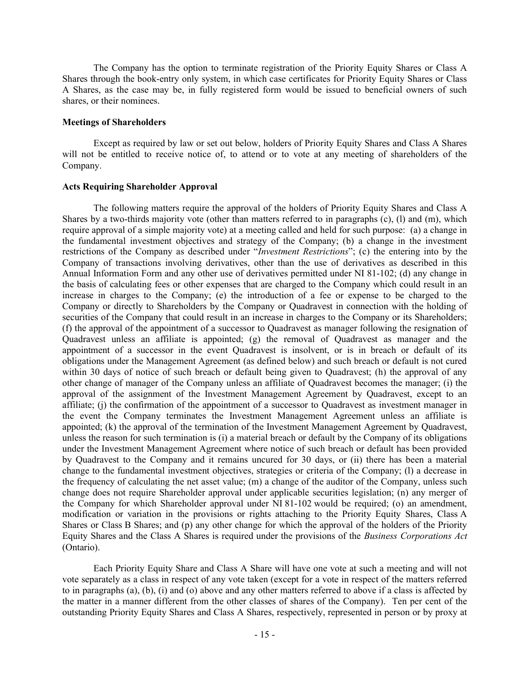The Company has the option to terminate registration of the Priority Equity Shares or Class A Shares through the book-entry only system, in which case certificates for Priority Equity Shares or Class A Shares, as the case may be, in fully registered form would be issued to beneficial owners of such shares, or their nominees.

#### Meetings of Shareholders

Except as required by law or set out below, holders of Priority Equity Shares and Class A Shares will not be entitled to receive notice of, to attend or to vote at any meeting of shareholders of the Company.

#### Acts Requiring Shareholder Approval

The following matters require the approval of the holders of Priority Equity Shares and Class A Shares by a two-thirds majority vote (other than matters referred to in paragraphs (c), (l) and (m), which require approval of a simple majority vote) at a meeting called and held for such purpose: (a) a change in the fundamental investment objectives and strategy of the Company; (b) a change in the investment restrictions of the Company as described under "Investment Restrictions"; (c) the entering into by the Company of transactions involving derivatives, other than the use of derivatives as described in this Annual Information Form and any other use of derivatives permitted under NI 81-102; (d) any change in the basis of calculating fees or other expenses that are charged to the Company which could result in an increase in charges to the Company; (e) the introduction of a fee or expense to be charged to the Company or directly to Shareholders by the Company or Quadravest in connection with the holding of securities of the Company that could result in an increase in charges to the Company or its Shareholders; (f) the approval of the appointment of a successor to Quadravest as manager following the resignation of Quadravest unless an affiliate is appointed; (g) the removal of Quadravest as manager and the appointment of a successor in the event Quadravest is insolvent, or is in breach or default of its obligations under the Management Agreement (as defined below) and such breach or default is not cured within 30 days of notice of such breach or default being given to Quadravest; (h) the approval of any other change of manager of the Company unless an affiliate of Quadravest becomes the manager; (i) the approval of the assignment of the Investment Management Agreement by Quadravest, except to an affiliate; (j) the confirmation of the appointment of a successor to Quadravest as investment manager in the event the Company terminates the Investment Management Agreement unless an affiliate is appointed; (k) the approval of the termination of the Investment Management Agreement by Quadravest, unless the reason for such termination is (i) a material breach or default by the Company of its obligations under the Investment Management Agreement where notice of such breach or default has been provided by Quadravest to the Company and it remains uncured for 30 days, or (ii) there has been a material change to the fundamental investment objectives, strategies or criteria of the Company; (l) a decrease in the frequency of calculating the net asset value; (m) a change of the auditor of the Company, unless such change does not require Shareholder approval under applicable securities legislation; (n) any merger of the Company for which Shareholder approval under NI 81-102 would be required; (o) an amendment, modification or variation in the provisions or rights attaching to the Priority Equity Shares, Class A Shares or Class B Shares; and (p) any other change for which the approval of the holders of the Priority Equity Shares and the Class A Shares is required under the provisions of the Business Corporations Act (Ontario).

Each Priority Equity Share and Class A Share will have one vote at such a meeting and will not vote separately as a class in respect of any vote taken (except for a vote in respect of the matters referred to in paragraphs (a), (b), (i) and (o) above and any other matters referred to above if a class is affected by the matter in a manner different from the other classes of shares of the Company). Ten per cent of the outstanding Priority Equity Shares and Class A Shares, respectively, represented in person or by proxy at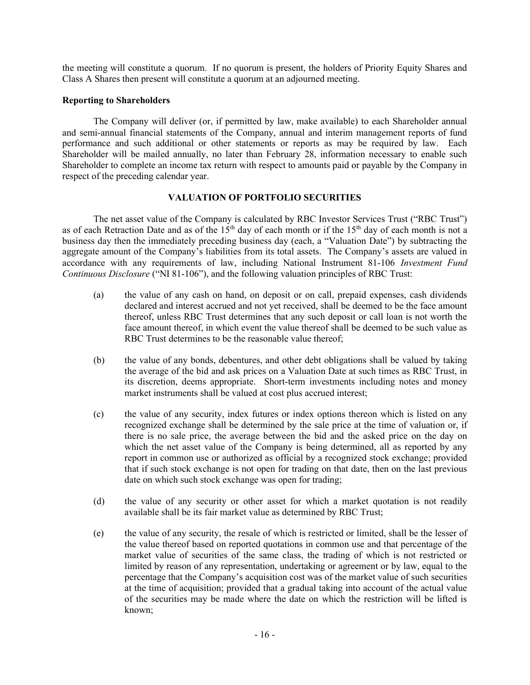the meeting will constitute a quorum. If no quorum is present, the holders of Priority Equity Shares and Class A Shares then present will constitute a quorum at an adjourned meeting.

# Reporting to Shareholders

The Company will deliver (or, if permitted by law, make available) to each Shareholder annual and semi-annual financial statements of the Company, annual and interim management reports of fund performance and such additional or other statements or reports as may be required by law. Each Shareholder will be mailed annually, no later than February 28, information necessary to enable such Shareholder to complete an income tax return with respect to amounts paid or payable by the Company in respect of the preceding calendar year.

# VALUATION OF PORTFOLIO SECURITIES

The net asset value of the Company is calculated by RBC Investor Services Trust ("RBC Trust") as of each Retraction Date and as of the 15<sup>th</sup> day of each month or if the 15<sup>th</sup> day of each month is not a business day then the immediately preceding business day (each, a "Valuation Date") by subtracting the aggregate amount of the Company's liabilities from its total assets. The Company's assets are valued in accordance with any requirements of law, including National Instrument 81-106 Investment Fund Continuous Disclosure ("NI 81-106"), and the following valuation principles of RBC Trust:

- (a) the value of any cash on hand, on deposit or on call, prepaid expenses, cash dividends declared and interest accrued and not yet received, shall be deemed to be the face amount thereof, unless RBC Trust determines that any such deposit or call loan is not worth the face amount thereof, in which event the value thereof shall be deemed to be such value as RBC Trust determines to be the reasonable value thereof;
- (b) the value of any bonds, debentures, and other debt obligations shall be valued by taking the average of the bid and ask prices on a Valuation Date at such times as RBC Trust, in its discretion, deems appropriate. Short-term investments including notes and money market instruments shall be valued at cost plus accrued interest;
- (c) the value of any security, index futures or index options thereon which is listed on any recognized exchange shall be determined by the sale price at the time of valuation or, if there is no sale price, the average between the bid and the asked price on the day on which the net asset value of the Company is being determined, all as reported by any report in common use or authorized as official by a recognized stock exchange; provided that if such stock exchange is not open for trading on that date, then on the last previous date on which such stock exchange was open for trading;
- (d) the value of any security or other asset for which a market quotation is not readily available shall be its fair market value as determined by RBC Trust;
- (e) the value of any security, the resale of which is restricted or limited, shall be the lesser of the value thereof based on reported quotations in common use and that percentage of the market value of securities of the same class, the trading of which is not restricted or limited by reason of any representation, undertaking or agreement or by law, equal to the percentage that the Company's acquisition cost was of the market value of such securities at the time of acquisition; provided that a gradual taking into account of the actual value of the securities may be made where the date on which the restriction will be lifted is known;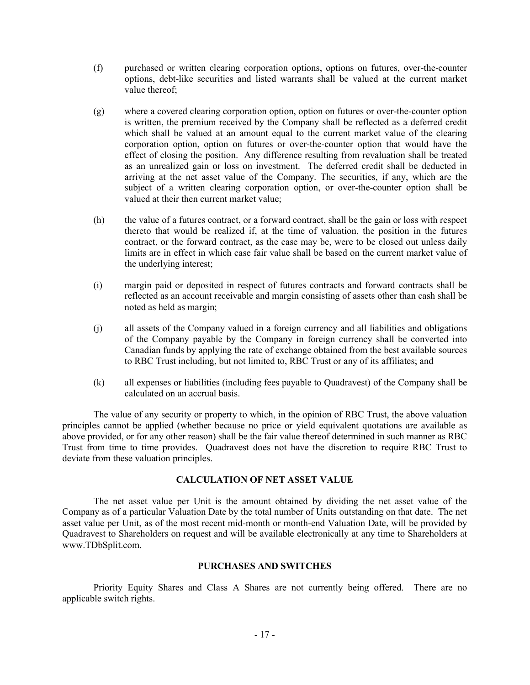- (f) purchased or written clearing corporation options, options on futures, over-the-counter options, debt-like securities and listed warrants shall be valued at the current market value thereof;
- (g) where a covered clearing corporation option, option on futures or over-the-counter option is written, the premium received by the Company shall be reflected as a deferred credit which shall be valued at an amount equal to the current market value of the clearing corporation option, option on futures or over-the-counter option that would have the effect of closing the position. Any difference resulting from revaluation shall be treated as an unrealized gain or loss on investment. The deferred credit shall be deducted in arriving at the net asset value of the Company. The securities, if any, which are the subject of a written clearing corporation option, or over-the-counter option shall be valued at their then current market value;
- (h) the value of a futures contract, or a forward contract, shall be the gain or loss with respect thereto that would be realized if, at the time of valuation, the position in the futures contract, or the forward contract, as the case may be, were to be closed out unless daily limits are in effect in which case fair value shall be based on the current market value of the underlying interest;
- (i) margin paid or deposited in respect of futures contracts and forward contracts shall be reflected as an account receivable and margin consisting of assets other than cash shall be noted as held as margin;
- (j) all assets of the Company valued in a foreign currency and all liabilities and obligations of the Company payable by the Company in foreign currency shall be converted into Canadian funds by applying the rate of exchange obtained from the best available sources to RBC Trust including, but not limited to, RBC Trust or any of its affiliates; and
- (k) all expenses or liabilities (including fees payable to Quadravest) of the Company shall be calculated on an accrual basis.

The value of any security or property to which, in the opinion of RBC Trust, the above valuation principles cannot be applied (whether because no price or yield equivalent quotations are available as above provided, or for any other reason) shall be the fair value thereof determined in such manner as RBC Trust from time to time provides. Quadravest does not have the discretion to require RBC Trust to deviate from these valuation principles.

# CALCULATION OF NET ASSET VALUE

The net asset value per Unit is the amount obtained by dividing the net asset value of the Company as of a particular Valuation Date by the total number of Units outstanding on that date. The net asset value per Unit, as of the most recent mid-month or month-end Valuation Date, will be provided by Quadravest to Shareholders on request and will be available electronically at any time to Shareholders at www.TDbSplit.com.

## PURCHASES AND SWITCHES

Priority Equity Shares and Class A Shares are not currently being offered. There are no applicable switch rights.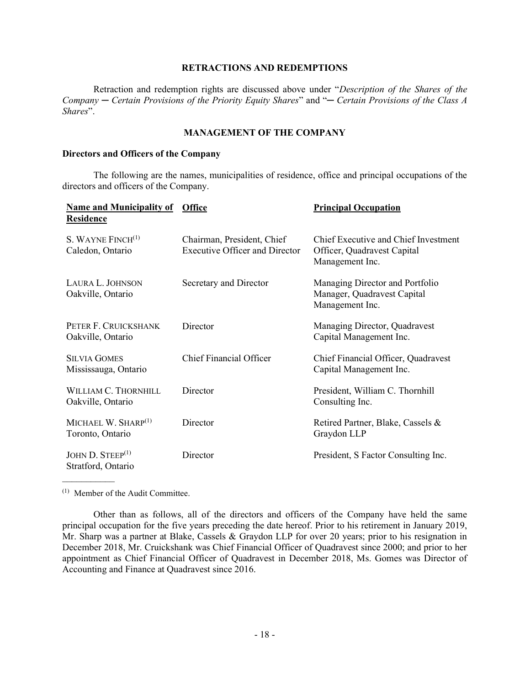## RETRACTIONS AND REDEMPTIONS

Retraction and redemption rights are discussed above under "Description of the Shares of the Company — Certain Provisions of the Priority Equity Shares" and "— Certain Provisions of the Class A Shares".

# MANAGEMENT OF THE COMPANY

# Directors and Officers of the Company

The following are the names, municipalities of residence, office and principal occupations of the directors and officers of the Company.

| <b>Name and Municipality of Office</b><br><b>Residence</b> |                                                                     | <b>Principal Occupation</b>                                                            |
|------------------------------------------------------------|---------------------------------------------------------------------|----------------------------------------------------------------------------------------|
| S. WAYNE $FINCH(1)$<br>Caledon, Ontario                    | Chairman, President, Chief<br><b>Executive Officer and Director</b> | Chief Executive and Chief Investment<br>Officer, Quadravest Capital<br>Management Inc. |
| LAURA L. JOHNSON<br>Oakville, Ontario                      | Secretary and Director                                              | Managing Director and Portfolio<br>Manager, Quadravest Capital<br>Management Inc.      |
| PETER F. CRUICKSHANK<br>Oakville, Ontario                  | Director                                                            | Managing Director, Quadravest<br>Capital Management Inc.                               |
| <b>SILVIA GOMES</b><br>Mississauga, Ontario                | <b>Chief Financial Officer</b>                                      | Chief Financial Officer, Quadravest<br>Capital Management Inc.                         |
| WILLIAM C. THORNHILL<br>Oakville, Ontario                  | Director                                                            | President, William C. Thornhill<br>Consulting Inc.                                     |
| MICHAEL W. SHARP $^{(1)}$<br>Toronto, Ontario              | Director                                                            | Retired Partner, Blake, Cassels &<br>Graydon LLP                                       |
| JOHN $D.$ STEEP $^{(1)}$<br>Stratford, Ontario             | Director                                                            | President, S Factor Consulting Inc.                                                    |

(1) Member of the Audit Committee.

 $\mathcal{L}_\text{max}$ 

Other than as follows, all of the directors and officers of the Company have held the same principal occupation for the five years preceding the date hereof. Prior to his retirement in January 2019, Mr. Sharp was a partner at Blake, Cassels & Graydon LLP for over 20 years; prior to his resignation in December 2018, Mr. Cruickshank was Chief Financial Officer of Quadravest since 2000; and prior to her appointment as Chief Financial Officer of Quadravest in December 2018, Ms. Gomes was Director of Accounting and Finance at Quadravest since 2016.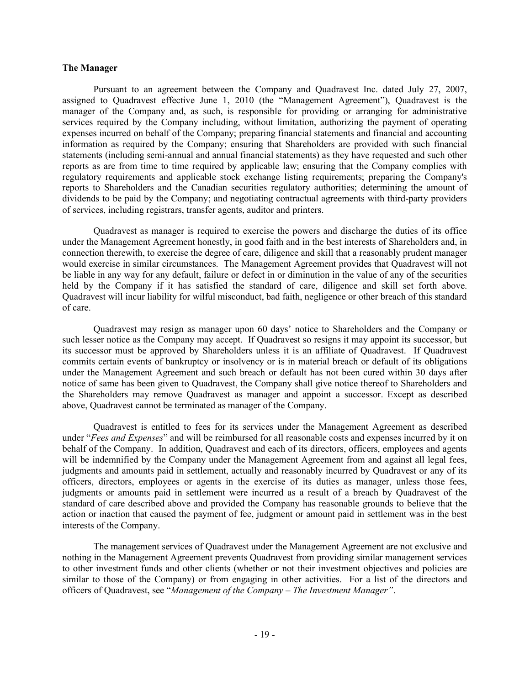## The Manager

Pursuant to an agreement between the Company and Quadravest Inc. dated July 27, 2007, assigned to Quadravest effective June 1, 2010 (the "Management Agreement"), Quadravest is the manager of the Company and, as such, is responsible for providing or arranging for administrative services required by the Company including, without limitation, authorizing the payment of operating expenses incurred on behalf of the Company; preparing financial statements and financial and accounting information as required by the Company; ensuring that Shareholders are provided with such financial statements (including semi-annual and annual financial statements) as they have requested and such other reports as are from time to time required by applicable law; ensuring that the Company complies with regulatory requirements and applicable stock exchange listing requirements; preparing the Company's reports to Shareholders and the Canadian securities regulatory authorities; determining the amount of dividends to be paid by the Company; and negotiating contractual agreements with third-party providers of services, including registrars, transfer agents, auditor and printers.

Quadravest as manager is required to exercise the powers and discharge the duties of its office under the Management Agreement honestly, in good faith and in the best interests of Shareholders and, in connection therewith, to exercise the degree of care, diligence and skill that a reasonably prudent manager would exercise in similar circumstances. The Management Agreement provides that Quadravest will not be liable in any way for any default, failure or defect in or diminution in the value of any of the securities held by the Company if it has satisfied the standard of care, diligence and skill set forth above. Quadravest will incur liability for wilful misconduct, bad faith, negligence or other breach of this standard of care.

Quadravest may resign as manager upon 60 days' notice to Shareholders and the Company or such lesser notice as the Company may accept. If Quadravest so resigns it may appoint its successor, but its successor must be approved by Shareholders unless it is an affiliate of Quadravest. If Quadravest commits certain events of bankruptcy or insolvency or is in material breach or default of its obligations under the Management Agreement and such breach or default has not been cured within 30 days after notice of same has been given to Quadravest, the Company shall give notice thereof to Shareholders and the Shareholders may remove Quadravest as manager and appoint a successor. Except as described above, Quadravest cannot be terminated as manager of the Company.

Quadravest is entitled to fees for its services under the Management Agreement as described under "Fees and Expenses" and will be reimbursed for all reasonable costs and expenses incurred by it on behalf of the Company. In addition, Quadravest and each of its directors, officers, employees and agents will be indemnified by the Company under the Management Agreement from and against all legal fees, judgments and amounts paid in settlement, actually and reasonably incurred by Quadravest or any of its officers, directors, employees or agents in the exercise of its duties as manager, unless those fees, judgments or amounts paid in settlement were incurred as a result of a breach by Quadravest of the standard of care described above and provided the Company has reasonable grounds to believe that the action or inaction that caused the payment of fee, judgment or amount paid in settlement was in the best interests of the Company.

The management services of Quadravest under the Management Agreement are not exclusive and nothing in the Management Agreement prevents Quadravest from providing similar management services to other investment funds and other clients (whether or not their investment objectives and policies are similar to those of the Company) or from engaging in other activities. For a list of the directors and officers of Quadravest, see "Management of the Company – The Investment Manager".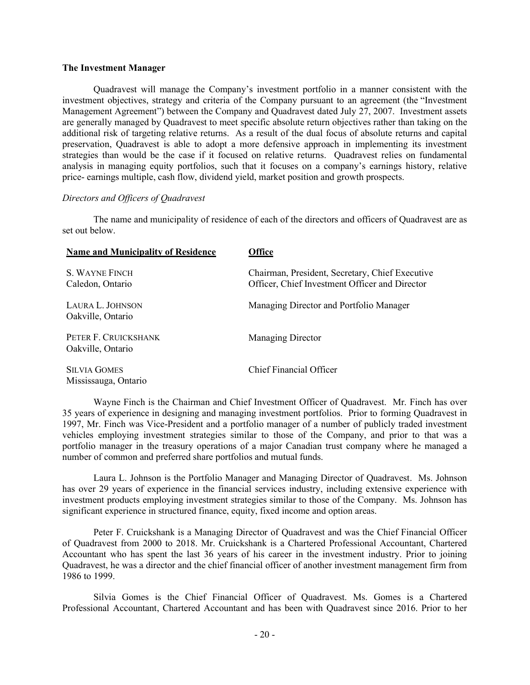## The Investment Manager

Quadravest will manage the Company's investment portfolio in a manner consistent with the investment objectives, strategy and criteria of the Company pursuant to an agreement (the "Investment Management Agreement") between the Company and Quadravest dated July 27, 2007. Investment assets are generally managed by Quadravest to meet specific absolute return objectives rather than taking on the additional risk of targeting relative returns. As a result of the dual focus of absolute returns and capital preservation, Quadravest is able to adopt a more defensive approach in implementing its investment strategies than would be the case if it focused on relative returns. Quadravest relies on fundamental analysis in managing equity portfolios, such that it focuses on a company's earnings history, relative price- earnings multiple, cash flow, dividend yield, market position and growth prospects.

## Directors and Officers of Quadravest

The name and municipality of residence of each of the directors and officers of Quadravest are as set out below.

| <b>Name and Municipality of Residence</b>   | Office                                                                                            |
|---------------------------------------------|---------------------------------------------------------------------------------------------------|
| S. WAYNE FINCH<br>Caledon, Ontario          | Chairman, President, Secretary, Chief Executive<br>Officer, Chief Investment Officer and Director |
| LAURA L. JOHNSON<br>Oakville, Ontario       | Managing Director and Portfolio Manager                                                           |
| PETER F. CRUICKSHANK<br>Oakville, Ontario   | <b>Managing Director</b>                                                                          |
| <b>SILVIA GOMES</b><br>Mississauga, Ontario | Chief Financial Officer                                                                           |

Wayne Finch is the Chairman and Chief Investment Officer of Quadravest. Mr. Finch has over 35 years of experience in designing and managing investment portfolios. Prior to forming Quadravest in 1997, Mr. Finch was Vice-President and a portfolio manager of a number of publicly traded investment vehicles employing investment strategies similar to those of the Company, and prior to that was a portfolio manager in the treasury operations of a major Canadian trust company where he managed a number of common and preferred share portfolios and mutual funds.

Laura L. Johnson is the Portfolio Manager and Managing Director of Quadravest. Ms. Johnson has over 29 years of experience in the financial services industry, including extensive experience with investment products employing investment strategies similar to those of the Company. Ms. Johnson has significant experience in structured finance, equity, fixed income and option areas.

Peter F. Cruickshank is a Managing Director of Quadravest and was the Chief Financial Officer of Quadravest from 2000 to 2018. Mr. Cruickshank is a Chartered Professional Accountant, Chartered Accountant who has spent the last 36 years of his career in the investment industry. Prior to joining Quadravest, he was a director and the chief financial officer of another investment management firm from 1986 to 1999.

Silvia Gomes is the Chief Financial Officer of Quadravest. Ms. Gomes is a Chartered Professional Accountant, Chartered Accountant and has been with Quadravest since 2016. Prior to her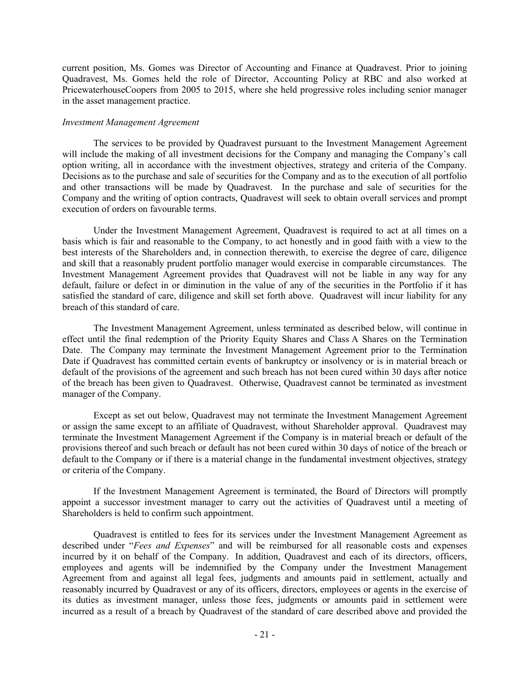current position, Ms. Gomes was Director of Accounting and Finance at Quadravest. Prior to joining Quadravest, Ms. Gomes held the role of Director, Accounting Policy at RBC and also worked at PricewaterhouseCoopers from 2005 to 2015, where she held progressive roles including senior manager in the asset management practice.

## Investment Management Agreement

The services to be provided by Quadravest pursuant to the Investment Management Agreement will include the making of all investment decisions for the Company and managing the Company's call option writing, all in accordance with the investment objectives, strategy and criteria of the Company. Decisions as to the purchase and sale of securities for the Company and as to the execution of all portfolio and other transactions will be made by Quadravest. In the purchase and sale of securities for the Company and the writing of option contracts, Quadravest will seek to obtain overall services and prompt execution of orders on favourable terms.

Under the Investment Management Agreement, Quadravest is required to act at all times on a basis which is fair and reasonable to the Company, to act honestly and in good faith with a view to the best interests of the Shareholders and, in connection therewith, to exercise the degree of care, diligence and skill that a reasonably prudent portfolio manager would exercise in comparable circumstances. The Investment Management Agreement provides that Quadravest will not be liable in any way for any default, failure or defect in or diminution in the value of any of the securities in the Portfolio if it has satisfied the standard of care, diligence and skill set forth above. Quadravest will incur liability for any breach of this standard of care.

The Investment Management Agreement, unless terminated as described below, will continue in effect until the final redemption of the Priority Equity Shares and Class A Shares on the Termination Date. The Company may terminate the Investment Management Agreement prior to the Termination Date if Quadravest has committed certain events of bankruptcy or insolvency or is in material breach or default of the provisions of the agreement and such breach has not been cured within 30 days after notice of the breach has been given to Quadravest. Otherwise, Quadravest cannot be terminated as investment manager of the Company.

Except as set out below, Quadravest may not terminate the Investment Management Agreement or assign the same except to an affiliate of Quadravest, without Shareholder approval. Quadravest may terminate the Investment Management Agreement if the Company is in material breach or default of the provisions thereof and such breach or default has not been cured within 30 days of notice of the breach or default to the Company or if there is a material change in the fundamental investment objectives, strategy or criteria of the Company.

If the Investment Management Agreement is terminated, the Board of Directors will promptly appoint a successor investment manager to carry out the activities of Quadravest until a meeting of Shareholders is held to confirm such appointment.

Quadravest is entitled to fees for its services under the Investment Management Agreement as described under "Fees and Expenses" and will be reimbursed for all reasonable costs and expenses incurred by it on behalf of the Company. In addition, Quadravest and each of its directors, officers, employees and agents will be indemnified by the Company under the Investment Management Agreement from and against all legal fees, judgments and amounts paid in settlement, actually and reasonably incurred by Quadravest or any of its officers, directors, employees or agents in the exercise of its duties as investment manager, unless those fees, judgments or amounts paid in settlement were incurred as a result of a breach by Quadravest of the standard of care described above and provided the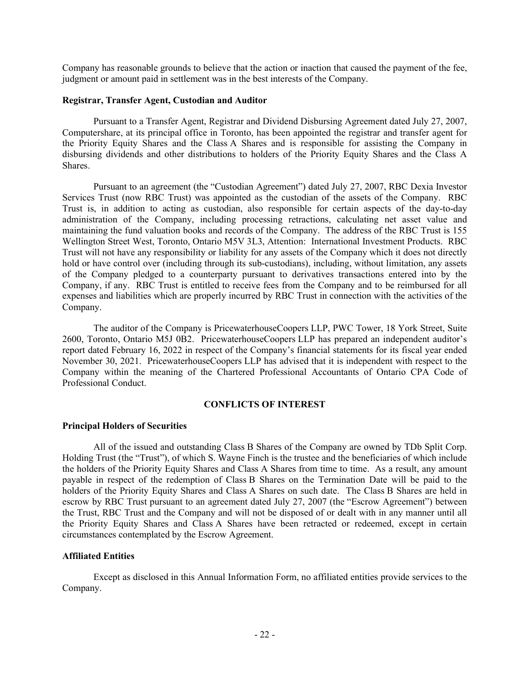Company has reasonable grounds to believe that the action or inaction that caused the payment of the fee, judgment or amount paid in settlement was in the best interests of the Company.

## Registrar, Transfer Agent, Custodian and Auditor

Pursuant to a Transfer Agent, Registrar and Dividend Disbursing Agreement dated July 27, 2007, Computershare, at its principal office in Toronto, has been appointed the registrar and transfer agent for the Priority Equity Shares and the Class A Shares and is responsible for assisting the Company in disbursing dividends and other distributions to holders of the Priority Equity Shares and the Class A Shares.

Pursuant to an agreement (the "Custodian Agreement") dated July 27, 2007, RBC Dexia Investor Services Trust (now RBC Trust) was appointed as the custodian of the assets of the Company. RBC Trust is, in addition to acting as custodian, also responsible for certain aspects of the day-to-day administration of the Company, including processing retractions, calculating net asset value and maintaining the fund valuation books and records of the Company. The address of the RBC Trust is 155 Wellington Street West, Toronto, Ontario M5V 3L3, Attention: International Investment Products. RBC Trust will not have any responsibility or liability for any assets of the Company which it does not directly hold or have control over (including through its sub-custodians), including, without limitation, any assets of the Company pledged to a counterparty pursuant to derivatives transactions entered into by the Company, if any. RBC Trust is entitled to receive fees from the Company and to be reimbursed for all expenses and liabilities which are properly incurred by RBC Trust in connection with the activities of the Company.

The auditor of the Company is PricewaterhouseCoopers LLP, PWC Tower, 18 York Street, Suite 2600, Toronto, Ontario M5J 0B2. PricewaterhouseCoopers LLP has prepared an independent auditor's report dated February 16, 2022 in respect of the Company's financial statements for its fiscal year ended November 30, 2021. PricewaterhouseCoopers LLP has advised that it is independent with respect to the Company within the meaning of the Chartered Professional Accountants of Ontario CPA Code of Professional Conduct.

## CONFLICTS OF INTEREST

## Principal Holders of Securities

All of the issued and outstanding Class B Shares of the Company are owned by TDb Split Corp. Holding Trust (the "Trust"), of which S. Wayne Finch is the trustee and the beneficiaries of which include the holders of the Priority Equity Shares and Class A Shares from time to time. As a result, any amount payable in respect of the redemption of Class B Shares on the Termination Date will be paid to the holders of the Priority Equity Shares and Class A Shares on such date. The Class B Shares are held in escrow by RBC Trust pursuant to an agreement dated July 27, 2007 (the "Escrow Agreement") between the Trust, RBC Trust and the Company and will not be disposed of or dealt with in any manner until all the Priority Equity Shares and Class A Shares have been retracted or redeemed, except in certain circumstances contemplated by the Escrow Agreement.

# Affiliated Entities

Except as disclosed in this Annual Information Form, no affiliated entities provide services to the Company.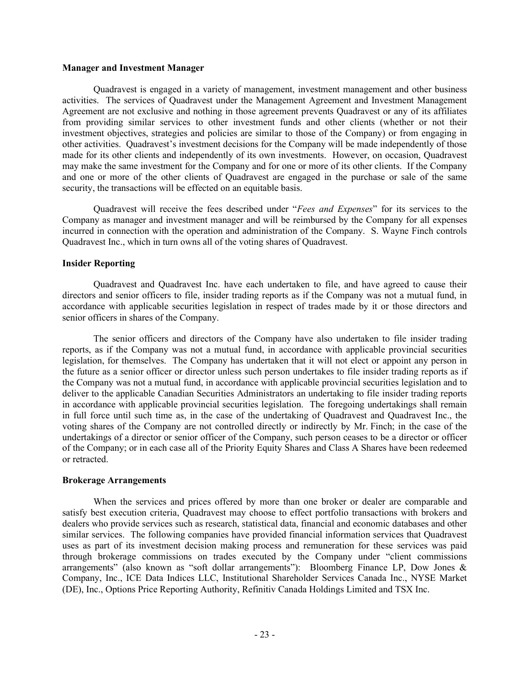## Manager and Investment Manager

Quadravest is engaged in a variety of management, investment management and other business activities. The services of Quadravest under the Management Agreement and Investment Management Agreement are not exclusive and nothing in those agreement prevents Quadravest or any of its affiliates from providing similar services to other investment funds and other clients (whether or not their investment objectives, strategies and policies are similar to those of the Company) or from engaging in other activities. Quadravest's investment decisions for the Company will be made independently of those made for its other clients and independently of its own investments. However, on occasion, Quadravest may make the same investment for the Company and for one or more of its other clients. If the Company and one or more of the other clients of Quadravest are engaged in the purchase or sale of the same security, the transactions will be effected on an equitable basis.

Quadravest will receive the fees described under "Fees and Expenses" for its services to the Company as manager and investment manager and will be reimbursed by the Company for all expenses incurred in connection with the operation and administration of the Company. S. Wayne Finch controls Quadravest Inc., which in turn owns all of the voting shares of Quadravest.

#### Insider Reporting

Quadravest and Quadravest Inc. have each undertaken to file, and have agreed to cause their directors and senior officers to file, insider trading reports as if the Company was not a mutual fund, in accordance with applicable securities legislation in respect of trades made by it or those directors and senior officers in shares of the Company.

The senior officers and directors of the Company have also undertaken to file insider trading reports, as if the Company was not a mutual fund, in accordance with applicable provincial securities legislation, for themselves. The Company has undertaken that it will not elect or appoint any person in the future as a senior officer or director unless such person undertakes to file insider trading reports as if the Company was not a mutual fund, in accordance with applicable provincial securities legislation and to deliver to the applicable Canadian Securities Administrators an undertaking to file insider trading reports in accordance with applicable provincial securities legislation. The foregoing undertakings shall remain in full force until such time as, in the case of the undertaking of Quadravest and Quadravest Inc., the voting shares of the Company are not controlled directly or indirectly by Mr. Finch; in the case of the undertakings of a director or senior officer of the Company, such person ceases to be a director or officer of the Company; or in each case all of the Priority Equity Shares and Class A Shares have been redeemed or retracted.

#### Brokerage Arrangements

When the services and prices offered by more than one broker or dealer are comparable and satisfy best execution criteria, Quadravest may choose to effect portfolio transactions with brokers and dealers who provide services such as research, statistical data, financial and economic databases and other similar services. The following companies have provided financial information services that Quadravest uses as part of its investment decision making process and remuneration for these services was paid through brokerage commissions on trades executed by the Company under "client commissions arrangements" (also known as "soft dollar arrangements"): Bloomberg Finance LP, Dow Jones & Company, Inc., ICE Data Indices LLC, Institutional Shareholder Services Canada Inc., NYSE Market (DE), Inc., Options Price Reporting Authority, Refinitiv Canada Holdings Limited and TSX Inc.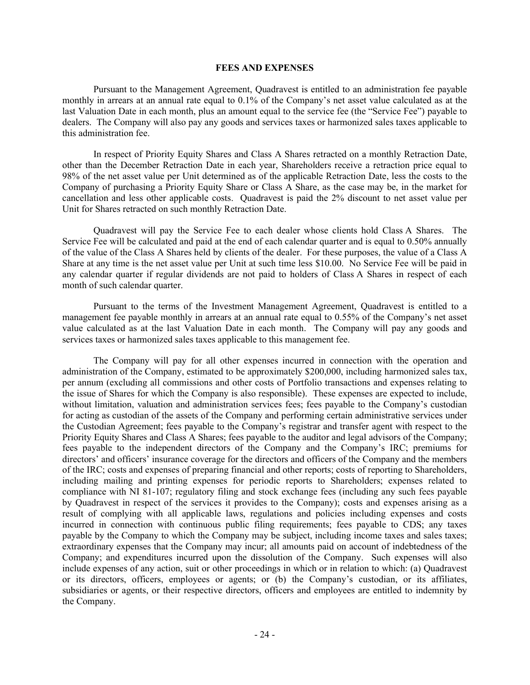#### FEES AND EXPENSES

Pursuant to the Management Agreement, Quadravest is entitled to an administration fee payable monthly in arrears at an annual rate equal to 0.1% of the Company's net asset value calculated as at the last Valuation Date in each month, plus an amount equal to the service fee (the "Service Fee") payable to dealers. The Company will also pay any goods and services taxes or harmonized sales taxes applicable to this administration fee.

In respect of Priority Equity Shares and Class A Shares retracted on a monthly Retraction Date, other than the December Retraction Date in each year, Shareholders receive a retraction price equal to 98% of the net asset value per Unit determined as of the applicable Retraction Date, less the costs to the Company of purchasing a Priority Equity Share or Class A Share, as the case may be, in the market for cancellation and less other applicable costs. Quadravest is paid the 2% discount to net asset value per Unit for Shares retracted on such monthly Retraction Date.

Quadravest will pay the Service Fee to each dealer whose clients hold Class A Shares. The Service Fee will be calculated and paid at the end of each calendar quarter and is equal to 0.50% annually of the value of the Class A Shares held by clients of the dealer. For these purposes, the value of a Class A Share at any time is the net asset value per Unit at such time less \$10.00. No Service Fee will be paid in any calendar quarter if regular dividends are not paid to holders of Class A Shares in respect of each month of such calendar quarter.

Pursuant to the terms of the Investment Management Agreement, Quadravest is entitled to a management fee payable monthly in arrears at an annual rate equal to 0.55% of the Company's net asset value calculated as at the last Valuation Date in each month. The Company will pay any goods and services taxes or harmonized sales taxes applicable to this management fee.

The Company will pay for all other expenses incurred in connection with the operation and administration of the Company, estimated to be approximately \$200,000, including harmonized sales tax, per annum (excluding all commissions and other costs of Portfolio transactions and expenses relating to the issue of Shares for which the Company is also responsible). These expenses are expected to include, without limitation, valuation and administration services fees; fees payable to the Company's custodian for acting as custodian of the assets of the Company and performing certain administrative services under the Custodian Agreement; fees payable to the Company's registrar and transfer agent with respect to the Priority Equity Shares and Class A Shares; fees payable to the auditor and legal advisors of the Company; fees payable to the independent directors of the Company and the Company's IRC; premiums for directors' and officers' insurance coverage for the directors and officers of the Company and the members of the IRC; costs and expenses of preparing financial and other reports; costs of reporting to Shareholders, including mailing and printing expenses for periodic reports to Shareholders; expenses related to compliance with NI 81-107; regulatory filing and stock exchange fees (including any such fees payable by Quadravest in respect of the services it provides to the Company); costs and expenses arising as a result of complying with all applicable laws, regulations and policies including expenses and costs incurred in connection with continuous public filing requirements; fees payable to CDS; any taxes payable by the Company to which the Company may be subject, including income taxes and sales taxes; extraordinary expenses that the Company may incur; all amounts paid on account of indebtedness of the Company; and expenditures incurred upon the dissolution of the Company. Such expenses will also include expenses of any action, suit or other proceedings in which or in relation to which: (a) Quadravest or its directors, officers, employees or agents; or (b) the Company's custodian, or its affiliates, subsidiaries or agents, or their respective directors, officers and employees are entitled to indemnity by the Company.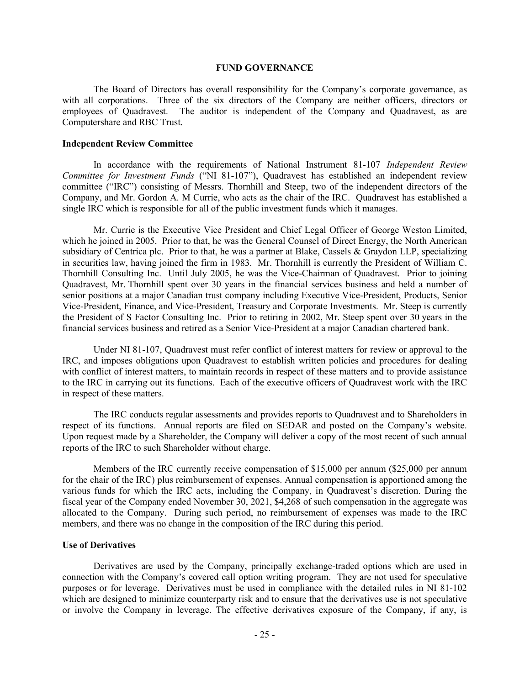#### FUND GOVERNANCE

The Board of Directors has overall responsibility for the Company's corporate governance, as with all corporations. Three of the six directors of the Company are neither officers, directors or employees of Quadravest. The auditor is independent of the Company and Quadravest, as are Computershare and RBC Trust.

#### Independent Review Committee

In accordance with the requirements of National Instrument 81-107 Independent Review Committee for Investment Funds ("NI 81-107"), Quadravest has established an independent review committee ("IRC") consisting of Messrs. Thornhill and Steep, two of the independent directors of the Company, and Mr. Gordon A. M Currie, who acts as the chair of the IRC. Quadravest has established a single IRC which is responsible for all of the public investment funds which it manages.

Mr. Currie is the Executive Vice President and Chief Legal Officer of George Weston Limited, which he joined in 2005. Prior to that, he was the General Counsel of Direct Energy, the North American subsidiary of Centrica plc. Prior to that, he was a partner at Blake, Cassels & Graydon LLP, specializing in securities law, having joined the firm in 1983. Mr. Thornhill is currently the President of William C. Thornhill Consulting Inc. Until July 2005, he was the Vice-Chairman of Quadravest. Prior to joining Quadravest, Mr. Thornhill spent over 30 years in the financial services business and held a number of senior positions at a major Canadian trust company including Executive Vice-President, Products, Senior Vice-President, Finance, and Vice-President, Treasury and Corporate Investments. Mr. Steep is currently the President of S Factor Consulting Inc. Prior to retiring in 2002, Mr. Steep spent over 30 years in the financial services business and retired as a Senior Vice-President at a major Canadian chartered bank.

Under NI 81-107, Quadravest must refer conflict of interest matters for review or approval to the IRC, and imposes obligations upon Quadravest to establish written policies and procedures for dealing with conflict of interest matters, to maintain records in respect of these matters and to provide assistance to the IRC in carrying out its functions. Each of the executive officers of Quadravest work with the IRC in respect of these matters.

The IRC conducts regular assessments and provides reports to Quadravest and to Shareholders in respect of its functions. Annual reports are filed on SEDAR and posted on the Company's website. Upon request made by a Shareholder, the Company will deliver a copy of the most recent of such annual reports of the IRC to such Shareholder without charge.

Members of the IRC currently receive compensation of \$15,000 per annum (\$25,000 per annum for the chair of the IRC) plus reimbursement of expenses. Annual compensation is apportioned among the various funds for which the IRC acts, including the Company, in Quadravest's discretion. During the fiscal year of the Company ended November 30, 2021, \$4,268 of such compensation in the aggregate was allocated to the Company. During such period, no reimbursement of expenses was made to the IRC members, and there was no change in the composition of the IRC during this period.

## Use of Derivatives

Derivatives are used by the Company, principally exchange-traded options which are used in connection with the Company's covered call option writing program. They are not used for speculative purposes or for leverage. Derivatives must be used in compliance with the detailed rules in NI 81-102 which are designed to minimize counterparty risk and to ensure that the derivatives use is not speculative or involve the Company in leverage. The effective derivatives exposure of the Company, if any, is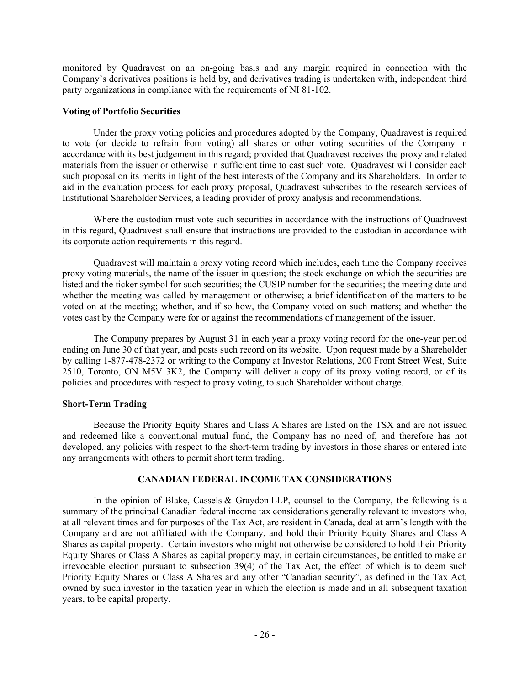monitored by Quadravest on an on-going basis and any margin required in connection with the Company's derivatives positions is held by, and derivatives trading is undertaken with, independent third party organizations in compliance with the requirements of NI 81-102.

# Voting of Portfolio Securities

Under the proxy voting policies and procedures adopted by the Company, Quadravest is required to vote (or decide to refrain from voting) all shares or other voting securities of the Company in accordance with its best judgement in this regard; provided that Quadravest receives the proxy and related materials from the issuer or otherwise in sufficient time to cast such vote. Quadravest will consider each such proposal on its merits in light of the best interests of the Company and its Shareholders. In order to aid in the evaluation process for each proxy proposal, Quadravest subscribes to the research services of Institutional Shareholder Services, a leading provider of proxy analysis and recommendations.

Where the custodian must vote such securities in accordance with the instructions of Quadravest in this regard, Quadravest shall ensure that instructions are provided to the custodian in accordance with its corporate action requirements in this regard.

Quadravest will maintain a proxy voting record which includes, each time the Company receives proxy voting materials, the name of the issuer in question; the stock exchange on which the securities are listed and the ticker symbol for such securities; the CUSIP number for the securities; the meeting date and whether the meeting was called by management or otherwise; a brief identification of the matters to be voted on at the meeting; whether, and if so how, the Company voted on such matters; and whether the votes cast by the Company were for or against the recommendations of management of the issuer.

The Company prepares by August 31 in each year a proxy voting record for the one-year period ending on June 30 of that year, and posts such record on its website. Upon request made by a Shareholder by calling 1-877-478-2372 or writing to the Company at Investor Relations, 200 Front Street West, Suite 2510, Toronto, ON M5V 3K2, the Company will deliver a copy of its proxy voting record, or of its policies and procedures with respect to proxy voting, to such Shareholder without charge.

# Short-Term Trading

Because the Priority Equity Shares and Class A Shares are listed on the TSX and are not issued and redeemed like a conventional mutual fund, the Company has no need of, and therefore has not developed, any policies with respect to the short-term trading by investors in those shares or entered into any arrangements with others to permit short term trading.

# CANADIAN FEDERAL INCOME TAX CONSIDERATIONS

In the opinion of Blake, Cassels & Graydon LLP, counsel to the Company, the following is a summary of the principal Canadian federal income tax considerations generally relevant to investors who, at all relevant times and for purposes of the Tax Act, are resident in Canada, deal at arm's length with the Company and are not affiliated with the Company, and hold their Priority Equity Shares and Class A Shares as capital property. Certain investors who might not otherwise be considered to hold their Priority Equity Shares or Class A Shares as capital property may, in certain circumstances, be entitled to make an irrevocable election pursuant to subsection 39(4) of the Tax Act, the effect of which is to deem such Priority Equity Shares or Class A Shares and any other "Canadian security", as defined in the Tax Act, owned by such investor in the taxation year in which the election is made and in all subsequent taxation years, to be capital property.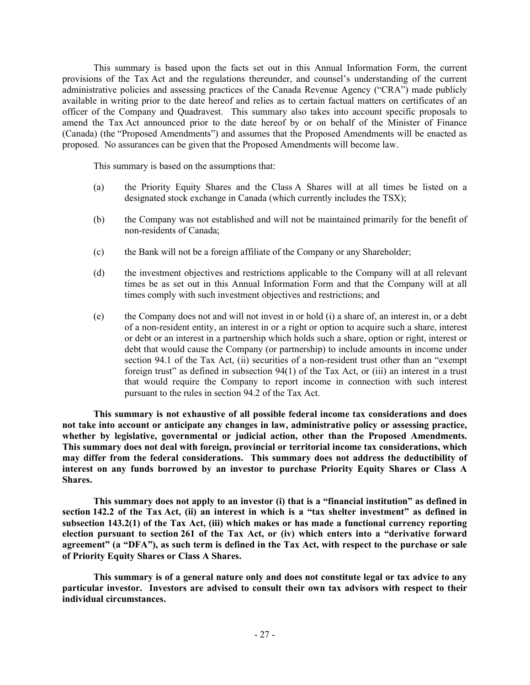This summary is based upon the facts set out in this Annual Information Form, the current provisions of the Tax Act and the regulations thereunder, and counsel's understanding of the current administrative policies and assessing practices of the Canada Revenue Agency ("CRA") made publicly available in writing prior to the date hereof and relies as to certain factual matters on certificates of an officer of the Company and Quadravest. This summary also takes into account specific proposals to amend the Tax Act announced prior to the date hereof by or on behalf of the Minister of Finance (Canada) (the "Proposed Amendments") and assumes that the Proposed Amendments will be enacted as proposed. No assurances can be given that the Proposed Amendments will become law.

This summary is based on the assumptions that:

- (a) the Priority Equity Shares and the Class A Shares will at all times be listed on a designated stock exchange in Canada (which currently includes the TSX);
- (b) the Company was not established and will not be maintained primarily for the benefit of non-residents of Canada;
- (c) the Bank will not be a foreign affiliate of the Company or any Shareholder;
- (d) the investment objectives and restrictions applicable to the Company will at all relevant times be as set out in this Annual Information Form and that the Company will at all times comply with such investment objectives and restrictions; and
- (e) the Company does not and will not invest in or hold (i) a share of, an interest in, or a debt of a non-resident entity, an interest in or a right or option to acquire such a share, interest or debt or an interest in a partnership which holds such a share, option or right, interest or debt that would cause the Company (or partnership) to include amounts in income under section 94.1 of the Tax Act, (ii) securities of a non-resident trust other than an "exempt foreign trust" as defined in subsection 94(1) of the Tax Act, or (iii) an interest in a trust that would require the Company to report income in connection with such interest pursuant to the rules in section 94.2 of the Tax Act.

This summary is not exhaustive of all possible federal income tax considerations and does not take into account or anticipate any changes in law, administrative policy or assessing practice, whether by legislative, governmental or judicial action, other than the Proposed Amendments. This summary does not deal with foreign, provincial or territorial income tax considerations, which may differ from the federal considerations. This summary does not address the deductibility of interest on any funds borrowed by an investor to purchase Priority Equity Shares or Class A Shares.

This summary does not apply to an investor (i) that is a "financial institution" as defined in section 142.2 of the Tax Act, (ii) an interest in which is a "tax shelter investment" as defined in subsection 143.2(1) of the Tax Act, (iii) which makes or has made a functional currency reporting election pursuant to section 261 of the Tax Act, or (iv) which enters into a "derivative forward agreement" (a "DFA"), as such term is defined in the Tax Act, with respect to the purchase or sale of Priority Equity Shares or Class A Shares.

This summary is of a general nature only and does not constitute legal or tax advice to any particular investor. Investors are advised to consult their own tax advisors with respect to their individual circumstances.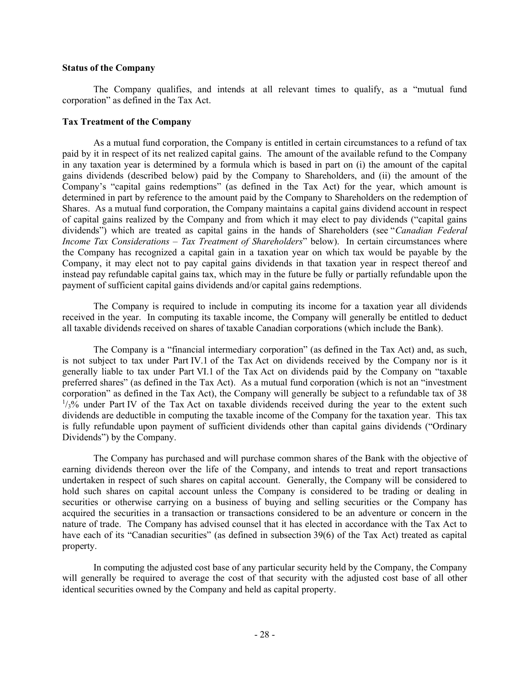## Status of the Company

The Company qualifies, and intends at all relevant times to qualify, as a "mutual fund corporation" as defined in the Tax Act.

## Tax Treatment of the Company

As a mutual fund corporation, the Company is entitled in certain circumstances to a refund of tax paid by it in respect of its net realized capital gains. The amount of the available refund to the Company in any taxation year is determined by a formula which is based in part on (i) the amount of the capital gains dividends (described below) paid by the Company to Shareholders, and (ii) the amount of the Company's "capital gains redemptions" (as defined in the Tax Act) for the year, which amount is determined in part by reference to the amount paid by the Company to Shareholders on the redemption of Shares. As a mutual fund corporation, the Company maintains a capital gains dividend account in respect of capital gains realized by the Company and from which it may elect to pay dividends ("capital gains dividends") which are treated as capital gains in the hands of Shareholders (see "Canadian Federal Income Tax Considerations - Tax Treatment of Shareholders" below). In certain circumstances where the Company has recognized a capital gain in a taxation year on which tax would be payable by the Company, it may elect not to pay capital gains dividends in that taxation year in respect thereof and instead pay refundable capital gains tax, which may in the future be fully or partially refundable upon the payment of sufficient capital gains dividends and/or capital gains redemptions.

The Company is required to include in computing its income for a taxation year all dividends received in the year. In computing its taxable income, the Company will generally be entitled to deduct all taxable dividends received on shares of taxable Canadian corporations (which include the Bank).

The Company is a "financial intermediary corporation" (as defined in the Tax Act) and, as such, is not subject to tax under Part IV.1 of the Tax Act on dividends received by the Company nor is it generally liable to tax under Part VI.1 of the Tax Act on dividends paid by the Company on "taxable preferred shares" (as defined in the Tax Act). As a mutual fund corporation (which is not an "investment corporation" as defined in the Tax Act), the Company will generally be subject to a refundable tax of 38  $1/3$ % under Part IV of the Tax Act on taxable dividends received during the year to the extent such dividends are deductible in computing the taxable income of the Company for the taxation year. This tax is fully refundable upon payment of sufficient dividends other than capital gains dividends ("Ordinary Dividends") by the Company.

The Company has purchased and will purchase common shares of the Bank with the objective of earning dividends thereon over the life of the Company, and intends to treat and report transactions undertaken in respect of such shares on capital account. Generally, the Company will be considered to hold such shares on capital account unless the Company is considered to be trading or dealing in securities or otherwise carrying on a business of buying and selling securities or the Company has acquired the securities in a transaction or transactions considered to be an adventure or concern in the nature of trade. The Company has advised counsel that it has elected in accordance with the Tax Act to have each of its "Canadian securities" (as defined in subsection 39(6) of the Tax Act) treated as capital property.

In computing the adjusted cost base of any particular security held by the Company, the Company will generally be required to average the cost of that security with the adjusted cost base of all other identical securities owned by the Company and held as capital property.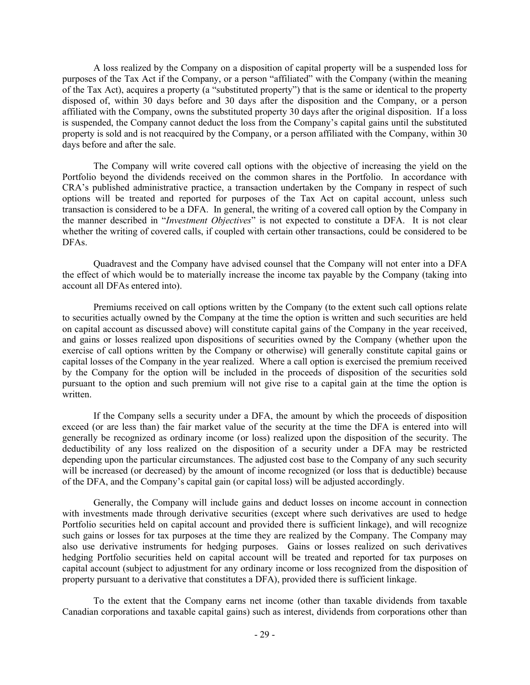A loss realized by the Company on a disposition of capital property will be a suspended loss for purposes of the Tax Act if the Company, or a person "affiliated" with the Company (within the meaning of the Tax Act), acquires a property (a "substituted property") that is the same or identical to the property disposed of, within 30 days before and 30 days after the disposition and the Company, or a person affiliated with the Company, owns the substituted property 30 days after the original disposition. If a loss is suspended, the Company cannot deduct the loss from the Company's capital gains until the substituted property is sold and is not reacquired by the Company, or a person affiliated with the Company, within 30 days before and after the sale.

The Company will write covered call options with the objective of increasing the yield on the Portfolio beyond the dividends received on the common shares in the Portfolio. In accordance with CRA's published administrative practice, a transaction undertaken by the Company in respect of such options will be treated and reported for purposes of the Tax Act on capital account, unless such transaction is considered to be a DFA. In general, the writing of a covered call option by the Company in the manner described in "Investment Objectives" is not expected to constitute a DFA. It is not clear whether the writing of covered calls, if coupled with certain other transactions, could be considered to be DFAs.

Quadravest and the Company have advised counsel that the Company will not enter into a DFA the effect of which would be to materially increase the income tax payable by the Company (taking into account all DFAs entered into).

Premiums received on call options written by the Company (to the extent such call options relate to securities actually owned by the Company at the time the option is written and such securities are held on capital account as discussed above) will constitute capital gains of the Company in the year received, and gains or losses realized upon dispositions of securities owned by the Company (whether upon the exercise of call options written by the Company or otherwise) will generally constitute capital gains or capital losses of the Company in the year realized. Where a call option is exercised the premium received by the Company for the option will be included in the proceeds of disposition of the securities sold pursuant to the option and such premium will not give rise to a capital gain at the time the option is written.

If the Company sells a security under a DFA, the amount by which the proceeds of disposition exceed (or are less than) the fair market value of the security at the time the DFA is entered into will generally be recognized as ordinary income (or loss) realized upon the disposition of the security. The deductibility of any loss realized on the disposition of a security under a DFA may be restricted depending upon the particular circumstances. The adjusted cost base to the Company of any such security will be increased (or decreased) by the amount of income recognized (or loss that is deductible) because of the DFA, and the Company's capital gain (or capital loss) will be adjusted accordingly.

Generally, the Company will include gains and deduct losses on income account in connection with investments made through derivative securities (except where such derivatives are used to hedge Portfolio securities held on capital account and provided there is sufficient linkage), and will recognize such gains or losses for tax purposes at the time they are realized by the Company. The Company may also use derivative instruments for hedging purposes. Gains or losses realized on such derivatives hedging Portfolio securities held on capital account will be treated and reported for tax purposes on capital account (subject to adjustment for any ordinary income or loss recognized from the disposition of property pursuant to a derivative that constitutes a DFA), provided there is sufficient linkage.

To the extent that the Company earns net income (other than taxable dividends from taxable Canadian corporations and taxable capital gains) such as interest, dividends from corporations other than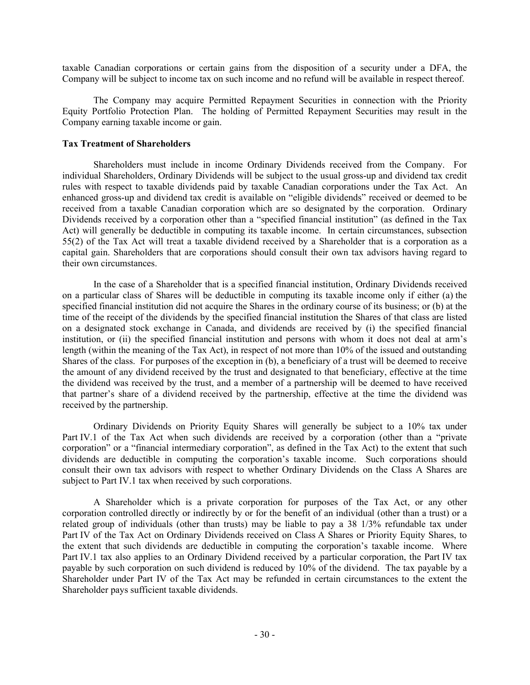taxable Canadian corporations or certain gains from the disposition of a security under a DFA, the Company will be subject to income tax on such income and no refund will be available in respect thereof.

The Company may acquire Permitted Repayment Securities in connection with the Priority Equity Portfolio Protection Plan. The holding of Permitted Repayment Securities may result in the Company earning taxable income or gain.

## Tax Treatment of Shareholders

Shareholders must include in income Ordinary Dividends received from the Company. For individual Shareholders, Ordinary Dividends will be subject to the usual gross-up and dividend tax credit rules with respect to taxable dividends paid by taxable Canadian corporations under the Tax Act. An enhanced gross-up and dividend tax credit is available on "eligible dividends" received or deemed to be received from a taxable Canadian corporation which are so designated by the corporation. Ordinary Dividends received by a corporation other than a "specified financial institution" (as defined in the Tax Act) will generally be deductible in computing its taxable income. In certain circumstances, subsection 55(2) of the Tax Act will treat a taxable dividend received by a Shareholder that is a corporation as a capital gain. Shareholders that are corporations should consult their own tax advisors having regard to their own circumstances.

In the case of a Shareholder that is a specified financial institution, Ordinary Dividends received on a particular class of Shares will be deductible in computing its taxable income only if either (a) the specified financial institution did not acquire the Shares in the ordinary course of its business; or (b) at the time of the receipt of the dividends by the specified financial institution the Shares of that class are listed on a designated stock exchange in Canada, and dividends are received by (i) the specified financial institution, or (ii) the specified financial institution and persons with whom it does not deal at arm's length (within the meaning of the Tax Act), in respect of not more than 10% of the issued and outstanding Shares of the class. For purposes of the exception in (b), a beneficiary of a trust will be deemed to receive the amount of any dividend received by the trust and designated to that beneficiary, effective at the time the dividend was received by the trust, and a member of a partnership will be deemed to have received that partner's share of a dividend received by the partnership, effective at the time the dividend was received by the partnership.

Ordinary Dividends on Priority Equity Shares will generally be subject to a 10% tax under Part IV.1 of the Tax Act when such dividends are received by a corporation (other than a "private corporation" or a "financial intermediary corporation", as defined in the Tax Act) to the extent that such dividends are deductible in computing the corporation's taxable income. Such corporations should consult their own tax advisors with respect to whether Ordinary Dividends on the Class A Shares are subject to Part IV.1 tax when received by such corporations.

A Shareholder which is a private corporation for purposes of the Tax Act, or any other corporation controlled directly or indirectly by or for the benefit of an individual (other than a trust) or a related group of individuals (other than trusts) may be liable to pay a 38 1/3% refundable tax under Part IV of the Tax Act on Ordinary Dividends received on Class A Shares or Priority Equity Shares, to the extent that such dividends are deductible in computing the corporation's taxable income. Where Part IV.1 tax also applies to an Ordinary Dividend received by a particular corporation, the Part IV tax payable by such corporation on such dividend is reduced by 10% of the dividend. The tax payable by a Shareholder under Part IV of the Tax Act may be refunded in certain circumstances to the extent the Shareholder pays sufficient taxable dividends.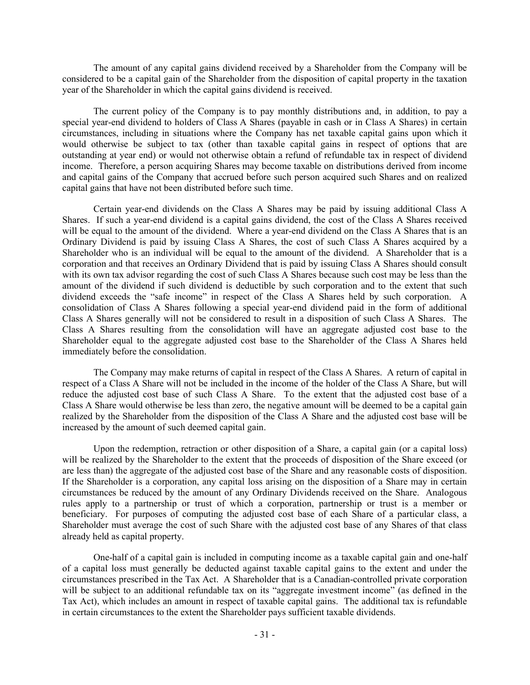The amount of any capital gains dividend received by a Shareholder from the Company will be considered to be a capital gain of the Shareholder from the disposition of capital property in the taxation year of the Shareholder in which the capital gains dividend is received.

The current policy of the Company is to pay monthly distributions and, in addition, to pay a special year-end dividend to holders of Class A Shares (payable in cash or in Class A Shares) in certain circumstances, including in situations where the Company has net taxable capital gains upon which it would otherwise be subject to tax (other than taxable capital gains in respect of options that are outstanding at year end) or would not otherwise obtain a refund of refundable tax in respect of dividend income. Therefore, a person acquiring Shares may become taxable on distributions derived from income and capital gains of the Company that accrued before such person acquired such Shares and on realized capital gains that have not been distributed before such time.

Certain year-end dividends on the Class A Shares may be paid by issuing additional Class A Shares. If such a year-end dividend is a capital gains dividend, the cost of the Class A Shares received will be equal to the amount of the dividend. Where a year-end dividend on the Class A Shares that is an Ordinary Dividend is paid by issuing Class A Shares, the cost of such Class A Shares acquired by a Shareholder who is an individual will be equal to the amount of the dividend. A Shareholder that is a corporation and that receives an Ordinary Dividend that is paid by issuing Class A Shares should consult with its own tax advisor regarding the cost of such Class A Shares because such cost may be less than the amount of the dividend if such dividend is deductible by such corporation and to the extent that such dividend exceeds the "safe income" in respect of the Class A Shares held by such corporation. A consolidation of Class A Shares following a special year-end dividend paid in the form of additional Class A Shares generally will not be considered to result in a disposition of such Class A Shares. The Class A Shares resulting from the consolidation will have an aggregate adjusted cost base to the Shareholder equal to the aggregate adjusted cost base to the Shareholder of the Class A Shares held immediately before the consolidation.

The Company may make returns of capital in respect of the Class A Shares. A return of capital in respect of a Class A Share will not be included in the income of the holder of the Class A Share, but will reduce the adjusted cost base of such Class A Share. To the extent that the adjusted cost base of a Class A Share would otherwise be less than zero, the negative amount will be deemed to be a capital gain realized by the Shareholder from the disposition of the Class A Share and the adjusted cost base will be increased by the amount of such deemed capital gain.

Upon the redemption, retraction or other disposition of a Share, a capital gain (or a capital loss) will be realized by the Shareholder to the extent that the proceeds of disposition of the Share exceed (or are less than) the aggregate of the adjusted cost base of the Share and any reasonable costs of disposition. If the Shareholder is a corporation, any capital loss arising on the disposition of a Share may in certain circumstances be reduced by the amount of any Ordinary Dividends received on the Share. Analogous rules apply to a partnership or trust of which a corporation, partnership or trust is a member or beneficiary. For purposes of computing the adjusted cost base of each Share of a particular class, a Shareholder must average the cost of such Share with the adjusted cost base of any Shares of that class already held as capital property.

One-half of a capital gain is included in computing income as a taxable capital gain and one-half of a capital loss must generally be deducted against taxable capital gains to the extent and under the circumstances prescribed in the Tax Act. A Shareholder that is a Canadian-controlled private corporation will be subject to an additional refundable tax on its "aggregate investment income" (as defined in the Tax Act), which includes an amount in respect of taxable capital gains. The additional tax is refundable in certain circumstances to the extent the Shareholder pays sufficient taxable dividends.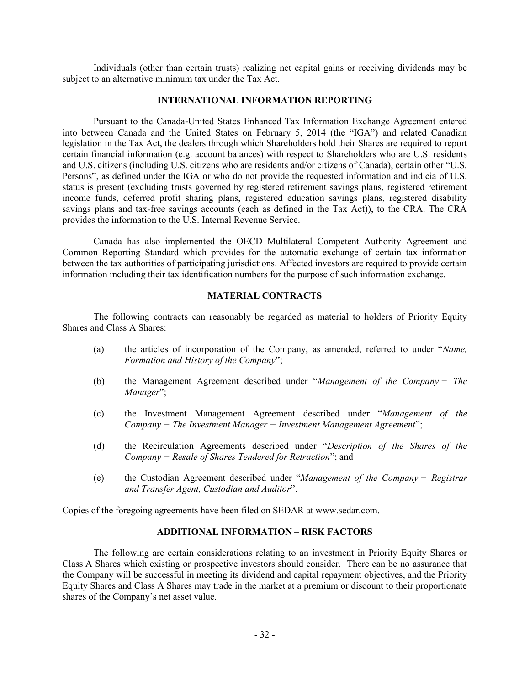Individuals (other than certain trusts) realizing net capital gains or receiving dividends may be subject to an alternative minimum tax under the Tax Act.

#### INTERNATIONAL INFORMATION REPORTING

Pursuant to the Canada-United States Enhanced Tax Information Exchange Agreement entered into between Canada and the United States on February 5, 2014 (the "IGA") and related Canadian legislation in the Tax Act, the dealers through which Shareholders hold their Shares are required to report certain financial information (e.g. account balances) with respect to Shareholders who are U.S. residents and U.S. citizens (including U.S. citizens who are residents and/or citizens of Canada), certain other "U.S. Persons", as defined under the IGA or who do not provide the requested information and indicia of U.S. status is present (excluding trusts governed by registered retirement savings plans, registered retirement income funds, deferred profit sharing plans, registered education savings plans, registered disability savings plans and tax-free savings accounts (each as defined in the Tax Act)), to the CRA. The CRA provides the information to the U.S. Internal Revenue Service.

Canada has also implemented the OECD Multilateral Competent Authority Agreement and Common Reporting Standard which provides for the automatic exchange of certain tax information between the tax authorities of participating jurisdictions. Affected investors are required to provide certain information including their tax identification numbers for the purpose of such information exchange.

# MATERIAL CONTRACTS

The following contracts can reasonably be regarded as material to holders of Priority Equity Shares and Class A Shares:

- (a) the articles of incorporation of the Company, as amended, referred to under "Name, Formation and History of the Company";
- (b) the Management Agreement described under "Management of the Company − The Manager";
- (c) the Investment Management Agreement described under "Management of the Company − The Investment Manager − Investment Management Agreement";
- (d) the Recirculation Agreements described under "Description of the Shares of the Company − Resale of Shares Tendered for Retraction"; and
- (e) the Custodian Agreement described under "Management of the Company − Registrar and Transfer Agent, Custodian and Auditor".

Copies of the foregoing agreements have been filed on SEDAR at www.sedar.com.

## ADDITIONAL INFORMATION – RISK FACTORS

The following are certain considerations relating to an investment in Priority Equity Shares or Class A Shares which existing or prospective investors should consider. There can be no assurance that the Company will be successful in meeting its dividend and capital repayment objectives, and the Priority Equity Shares and Class A Shares may trade in the market at a premium or discount to their proportionate shares of the Company's net asset value.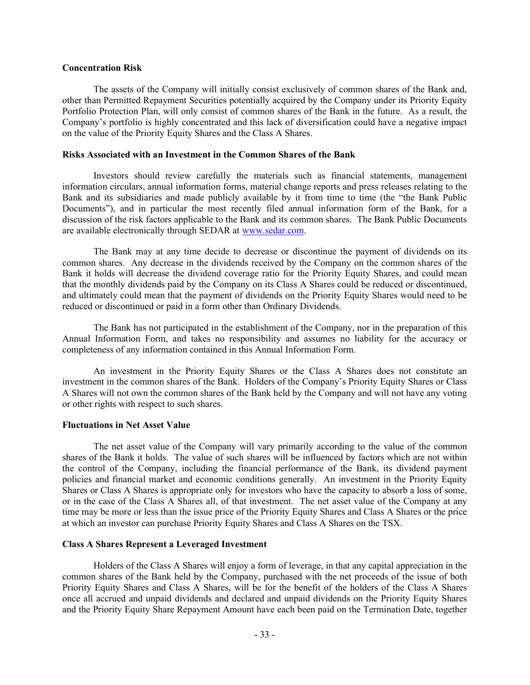## Concentration Risk

The assets of the Company will initially consist exclusively of common shares of the Bank and, other than Permitted Repayment Securities potentially acquired by the Company under its Priority Equity Portfolio Protection Plan, will only consist of common shares of the Bank in the future. As a result, the Company's portfolio is highly concentrated and this lack of diversification could have a negative impact on the value of the Priority Equity Shares and the Class A Shares.

## Risks Associated with an Investment in the Common Shares of the Bank

Investors should review carefully the materials such as financial statements, management information circulars, annual information forms, material change reports and press releases relating to the Bank and its subsidiaries and made publicly available by it from time to time (the "the Bank Public Documents"), and in particular the most recently filed annual information form of the Bank, for a discussion of the risk factors applicable to the Bank and its common shares. The Bank Public Documents are available electronically through SEDAR at www.sedar.com.

The Bank may at any time decide to decrease or discontinue the payment of dividends on its common shares. Any decrease in the dividends received by the Company on the common shares of the Bank it holds will decrease the dividend coverage ratio for the Priority Equity Shares, and could mean that the monthly dividends paid by the Company on its Class A Shares could be reduced or discontinued, and ultimately could mean that the payment of dividends on the Priority Equity Shares would need to be reduced or discontinued or paid in a form other than Ordinary Dividends.

The Bank has not participated in the establishment of the Company, nor in the preparation of this Annual Information Form, and takes no responsibility and assumes no liability for the accuracy or completeness of any information contained in this Annual Information Form.

An investment in the Priority Equity Shares or the Class A Shares does not constitute an investment in the common shares of the Bank. Holders of the Company's Priority Equity Shares or Class A Shares will not own the common shares of the Bank held by the Company and will not have any voting or other rights with respect to such shares.

## Fluctuations in Net Asset Value

The net asset value of the Company will vary primarily according to the value of the common shares of the Bank it holds. The value of such shares will be influenced by factors which are not within the control of the Company, including the financial performance of the Bank, its dividend payment policies and financial market and economic conditions generally. An investment in the Priority Equity Shares or Class A Shares is appropriate only for investors who have the capacity to absorb a loss of some, or in the case of the Class A Shares all, of that investment. The net asset value of the Company at any time may be more or less than the issue price of the Priority Equity Shares and Class A Shares or the price at which an investor can purchase Priority Equity Shares and Class A Shares on the TSX.

## Class A Shares Represent a Leveraged Investment

Holders of the Class A Shares will enjoy a form of leverage, in that any capital appreciation in the common shares of the Bank held by the Company, purchased with the net proceeds of the issue of both Priority Equity Shares and Class A Shares, will be for the benefit of the holders of the Class A Shares once all accrued and unpaid dividends and declared and unpaid dividends on the Priority Equity Shares and the Priority Equity Share Repayment Amount have each been paid on the Termination Date, together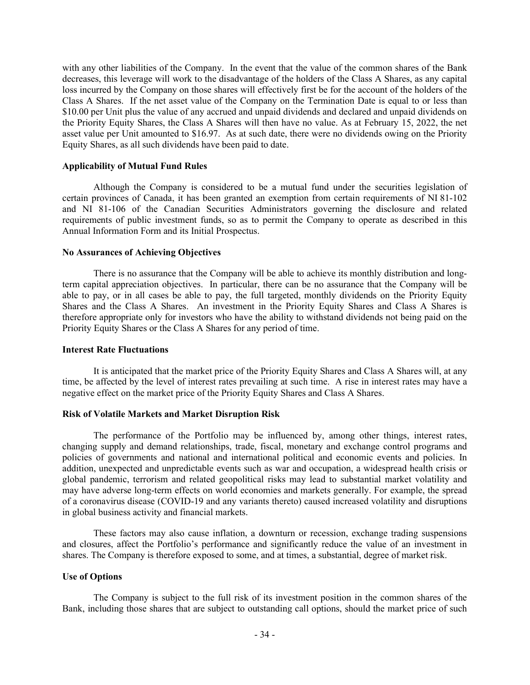with any other liabilities of the Company. In the event that the value of the common shares of the Bank decreases, this leverage will work to the disadvantage of the holders of the Class A Shares, as any capital loss incurred by the Company on those shares will effectively first be for the account of the holders of the Class A Shares. If the net asset value of the Company on the Termination Date is equal to or less than \$10.00 per Unit plus the value of any accrued and unpaid dividends and declared and unpaid dividends on the Priority Equity Shares, the Class A Shares will then have no value. As at February 15, 2022, the net asset value per Unit amounted to \$16.97. As at such date, there were no dividends owing on the Priority Equity Shares, as all such dividends have been paid to date.

# Applicability of Mutual Fund Rules

Although the Company is considered to be a mutual fund under the securities legislation of certain provinces of Canada, it has been granted an exemption from certain requirements of NI 81-102 and NI 81-106 of the Canadian Securities Administrators governing the disclosure and related requirements of public investment funds, so as to permit the Company to operate as described in this Annual Information Form and its Initial Prospectus.

## No Assurances of Achieving Objectives

There is no assurance that the Company will be able to achieve its monthly distribution and longterm capital appreciation objectives. In particular, there can be no assurance that the Company will be able to pay, or in all cases be able to pay, the full targeted, monthly dividends on the Priority Equity Shares and the Class A Shares. An investment in the Priority Equity Shares and Class A Shares is therefore appropriate only for investors who have the ability to withstand dividends not being paid on the Priority Equity Shares or the Class A Shares for any period of time.

#### Interest Rate Fluctuations

It is anticipated that the market price of the Priority Equity Shares and Class A Shares will, at any time, be affected by the level of interest rates prevailing at such time. A rise in interest rates may have a negative effect on the market price of the Priority Equity Shares and Class A Shares.

# Risk of Volatile Markets and Market Disruption Risk

The performance of the Portfolio may be influenced by, among other things, interest rates, changing supply and demand relationships, trade, fiscal, monetary and exchange control programs and policies of governments and national and international political and economic events and policies. In addition, unexpected and unpredictable events such as war and occupation, a widespread health crisis or global pandemic, terrorism and related geopolitical risks may lead to substantial market volatility and may have adverse long-term effects on world economies and markets generally. For example, the spread of a coronavirus disease (COVID-19 and any variants thereto) caused increased volatility and disruptions in global business activity and financial markets.

These factors may also cause inflation, a downturn or recession, exchange trading suspensions and closures, affect the Portfolio's performance and significantly reduce the value of an investment in shares. The Company is therefore exposed to some, and at times, a substantial, degree of market risk.

## Use of Options

The Company is subject to the full risk of its investment position in the common shares of the Bank, including those shares that are subject to outstanding call options, should the market price of such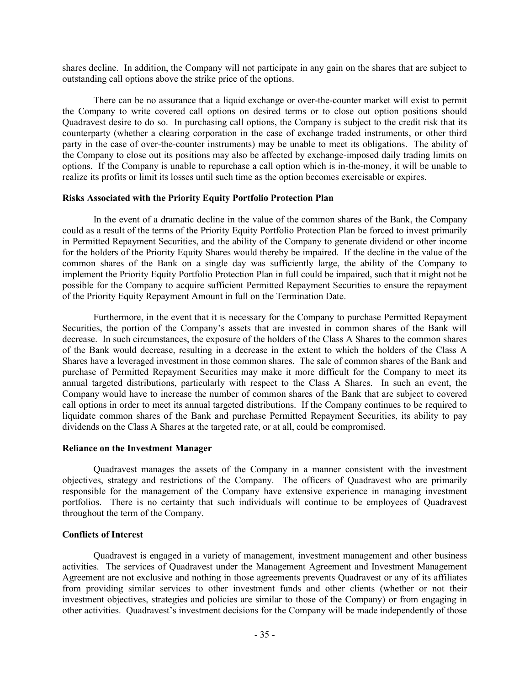shares decline. In addition, the Company will not participate in any gain on the shares that are subject to outstanding call options above the strike price of the options.

There can be no assurance that a liquid exchange or over-the-counter market will exist to permit the Company to write covered call options on desired terms or to close out option positions should Quadravest desire to do so. In purchasing call options, the Company is subject to the credit risk that its counterparty (whether a clearing corporation in the case of exchange traded instruments, or other third party in the case of over-the-counter instruments) may be unable to meet its obligations. The ability of the Company to close out its positions may also be affected by exchange-imposed daily trading limits on options. If the Company is unable to repurchase a call option which is in-the-money, it will be unable to realize its profits or limit its losses until such time as the option becomes exercisable or expires.

#### Risks Associated with the Priority Equity Portfolio Protection Plan

In the event of a dramatic decline in the value of the common shares of the Bank, the Company could as a result of the terms of the Priority Equity Portfolio Protection Plan be forced to invest primarily in Permitted Repayment Securities, and the ability of the Company to generate dividend or other income for the holders of the Priority Equity Shares would thereby be impaired. If the decline in the value of the common shares of the Bank on a single day was sufficiently large, the ability of the Company to implement the Priority Equity Portfolio Protection Plan in full could be impaired, such that it might not be possible for the Company to acquire sufficient Permitted Repayment Securities to ensure the repayment of the Priority Equity Repayment Amount in full on the Termination Date.

Furthermore, in the event that it is necessary for the Company to purchase Permitted Repayment Securities, the portion of the Company's assets that are invested in common shares of the Bank will decrease. In such circumstances, the exposure of the holders of the Class A Shares to the common shares of the Bank would decrease, resulting in a decrease in the extent to which the holders of the Class A Shares have a leveraged investment in those common shares. The sale of common shares of the Bank and purchase of Permitted Repayment Securities may make it more difficult for the Company to meet its annual targeted distributions, particularly with respect to the Class A Shares. In such an event, the Company would have to increase the number of common shares of the Bank that are subject to covered call options in order to meet its annual targeted distributions. If the Company continues to be required to liquidate common shares of the Bank and purchase Permitted Repayment Securities, its ability to pay dividends on the Class A Shares at the targeted rate, or at all, could be compromised.

## Reliance on the Investment Manager

Quadravest manages the assets of the Company in a manner consistent with the investment objectives, strategy and restrictions of the Company. The officers of Quadravest who are primarily responsible for the management of the Company have extensive experience in managing investment portfolios. There is no certainty that such individuals will continue to be employees of Quadravest throughout the term of the Company.

#### Conflicts of Interest

Quadravest is engaged in a variety of management, investment management and other business activities. The services of Quadravest under the Management Agreement and Investment Management Agreement are not exclusive and nothing in those agreements prevents Quadravest or any of its affiliates from providing similar services to other investment funds and other clients (whether or not their investment objectives, strategies and policies are similar to those of the Company) or from engaging in other activities. Quadravest's investment decisions for the Company will be made independently of those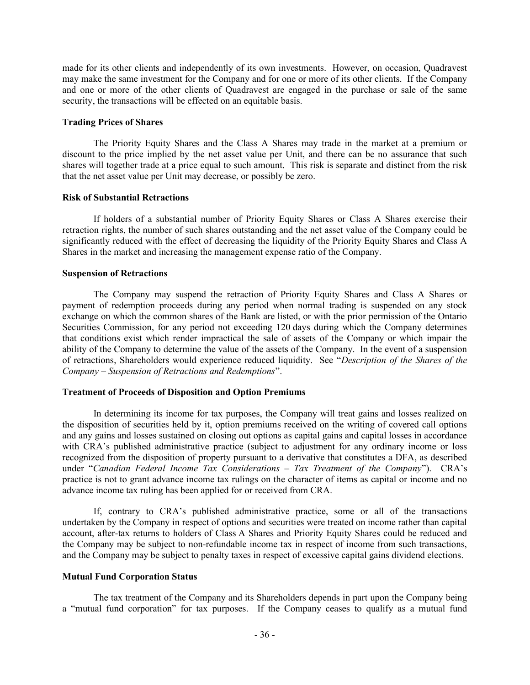made for its other clients and independently of its own investments. However, on occasion, Quadravest may make the same investment for the Company and for one or more of its other clients. If the Company and one or more of the other clients of Quadravest are engaged in the purchase or sale of the same security, the transactions will be effected on an equitable basis.

## Trading Prices of Shares

The Priority Equity Shares and the Class A Shares may trade in the market at a premium or discount to the price implied by the net asset value per Unit, and there can be no assurance that such shares will together trade at a price equal to such amount. This risk is separate and distinct from the risk that the net asset value per Unit may decrease, or possibly be zero.

## Risk of Substantial Retractions

If holders of a substantial number of Priority Equity Shares or Class A Shares exercise their retraction rights, the number of such shares outstanding and the net asset value of the Company could be significantly reduced with the effect of decreasing the liquidity of the Priority Equity Shares and Class A Shares in the market and increasing the management expense ratio of the Company.

## Suspension of Retractions

The Company may suspend the retraction of Priority Equity Shares and Class A Shares or payment of redemption proceeds during any period when normal trading is suspended on any stock exchange on which the common shares of the Bank are listed, or with the prior permission of the Ontario Securities Commission, for any period not exceeding 120 days during which the Company determines that conditions exist which render impractical the sale of assets of the Company or which impair the ability of the Company to determine the value of the assets of the Company. In the event of a suspension of retractions, Shareholders would experience reduced liquidity. See "Description of the Shares of the Company – Suspension of Retractions and Redemptions".

## Treatment of Proceeds of Disposition and Option Premiums

In determining its income for tax purposes, the Company will treat gains and losses realized on the disposition of securities held by it, option premiums received on the writing of covered call options and any gains and losses sustained on closing out options as capital gains and capital losses in accordance with CRA's published administrative practice (subject to adjustment for any ordinary income or loss recognized from the disposition of property pursuant to a derivative that constitutes a DFA, as described under "Canadian Federal Income Tax Considerations - Tax Treatment of the Company"). CRA's practice is not to grant advance income tax rulings on the character of items as capital or income and no advance income tax ruling has been applied for or received from CRA.

If, contrary to CRA's published administrative practice, some or all of the transactions undertaken by the Company in respect of options and securities were treated on income rather than capital account, after-tax returns to holders of Class A Shares and Priority Equity Shares could be reduced and the Company may be subject to non-refundable income tax in respect of income from such transactions, and the Company may be subject to penalty taxes in respect of excessive capital gains dividend elections.

## Mutual Fund Corporation Status

The tax treatment of the Company and its Shareholders depends in part upon the Company being a "mutual fund corporation" for tax purposes. If the Company ceases to qualify as a mutual fund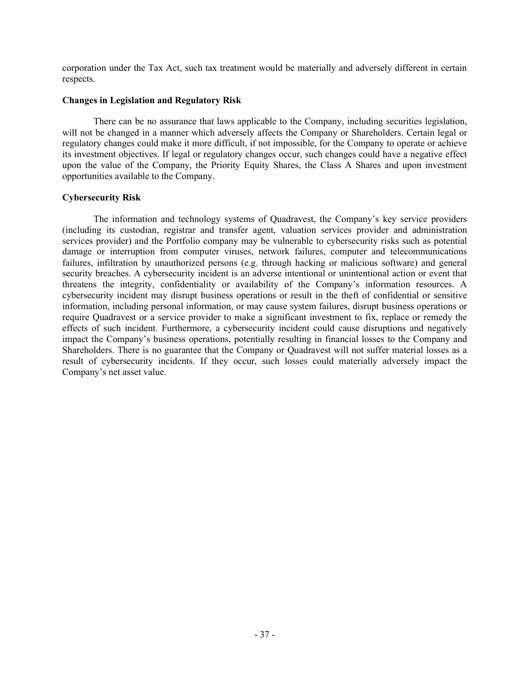corporation under the Tax Act, such tax treatment would be materially and adversely different in certain respects.

# Changes in Legislation and Regulatory Risk

There can be no assurance that laws applicable to the Company, including securities legislation, will not be changed in a manner which adversely affects the Company or Shareholders. Certain legal or regulatory changes could make it more difficult, if not impossible, for the Company to operate or achieve its investment objectives. If legal or regulatory changes occur, such changes could have a negative effect upon the value of the Company, the Priority Equity Shares, the Class A Shares and upon investment opportunities available to the Company.

# Cybersecurity Risk

The information and technology systems of Quadravest, the Company's key service providers (including its custodian, registrar and transfer agent, valuation services provider and administration services provider) and the Portfolio company may be vulnerable to cybersecurity risks such as potential damage or interruption from computer viruses, network failures, computer and telecommunications failures, infiltration by unauthorized persons (e.g. through hacking or malicious software) and general security breaches. A cybersecurity incident is an adverse intentional or unintentional action or event that threatens the integrity, confidentiality or availability of the Company's information resources. A cybersecurity incident may disrupt business operations or result in the theft of confidential or sensitive information, including personal information, or may cause system failures, disrupt business operations or require Quadravest or a service provider to make a significant investment to fix, replace or remedy the effects of such incident. Furthermore, a cybersecurity incident could cause disruptions and negatively impact the Company's business operations, potentially resulting in financial losses to the Company and Shareholders. There is no guarantee that the Company or Quadravest will not suffer material losses as a result of cybersecurity incidents. If they occur, such losses could materially adversely impact the Company's net asset value.